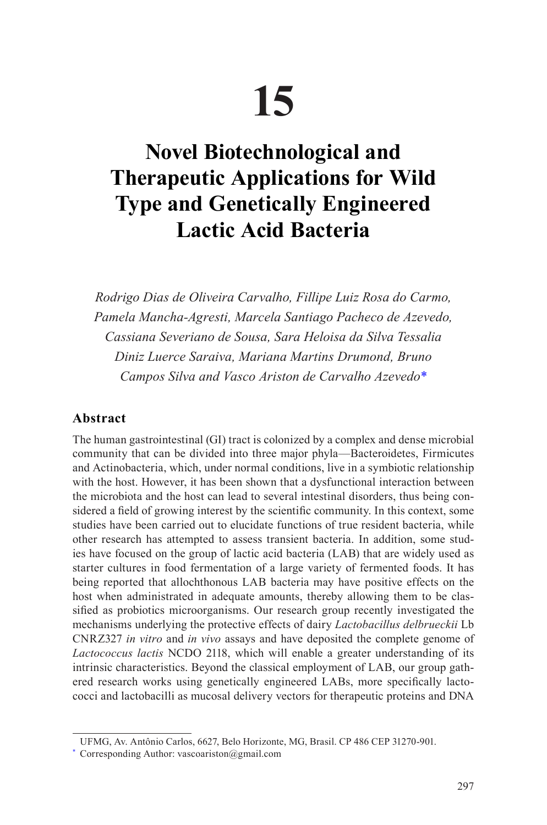# **15**

# **Novel Biotechnological and [Therapeutic Applications for Wild](#page--1-0)  Type and Genetically Engineered Lactic Acid Bacteria**

*Rodrigo Dias de Oliveira Carvalho, Fillipe Luiz Rosa do Carmo, Pamela Mancha-Agresti, Marcela Santiago Pacheco de Azevedo, Cassiana Severiano de Sousa, Sara Heloisa da Silva Tessalia Diniz Luerce Saraiva, Mariana Martins Drumond, Bruno Campos Silva and Vasco Ariston de Carvalho Azevedo[\\*](#page--1-0)*

# **Abstract**

The human gastrointestinal (GI) tract is colonized by a complex and dense microbial community that can be divided into three major phyla—Bacteroidetes, Firmicutes and Actinobacteria, which, under normal conditions, live in a symbiotic relationship with the host. However, it has been shown that a dysfunctional interaction between the microbiota and the host can lead to several intestinal disorders, thus being considered a field of growing interest by the scientific community. In this context, some studies have been carried out to elucidate functions of true resident bacteria, while other research has attempted to assess transient bacteria. In addition, some studies have focused on the group of lactic acid bacteria (LAB) that are widely used as starter cultures in food fermentation of a large variety of fermented foods. It has being reported that allochthonous LAB bacteria may have positive effects on the host when administrated in adequate amounts, thereby allowing them to be classified as probiotics microorganisms. Our research group recently investigated the mechanisms underlying the protective effects of dairy *Lactobacillus delbrueckii* Lb CNRZ327 *in vitro* and *in vivo* assays and have deposited the complete genome of *Lactococcus lactis* NCDO 2118, which will enable a greater understanding of its intrinsic characteristics. Beyond the classical employment of LAB, our group gathered research works using genetically engineered LABs, more specifically lactococci and lactobacilli as mucosal delivery vectors for therapeutic proteins and DNA

UFMG, Av. Antônio Carlos, 6627, Belo Horizonte, MG, Brasil. CP 486 CEP 31270-901.

[<sup>\\*</sup>](#page--1-0) Corresponding Author: [vascoariston@gmail.com](mailto:vascoariston@gmail.com)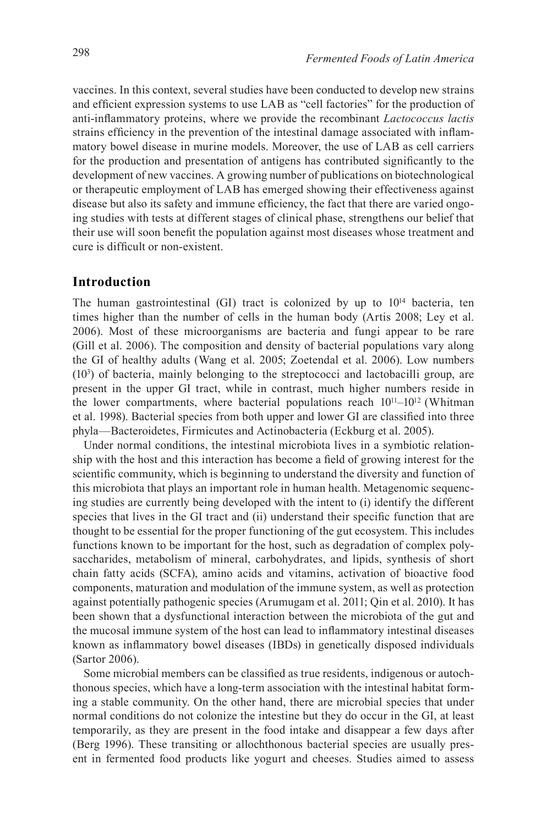vaccines. In this context, several studies have been conducted to develop new strains and efficient expression systems to use LAB as "cell factories" for the production of anti-inflammatory proteins, where we provide the recombinant *Lactococcus lactis*  strains efficiency in the prevention of the intestinal damage associated with inflammatory bowel disease in murine models. Moreover, the use of LAB as cell carriers for the production and presentation of antigens has contributed significantly to the development of new vaccines. A growing number of publications on biotechnological or therapeutic employment of LAB has emerged showing their effectiveness against disease but also its safety and immune efficiency, the fact that there are varied ongoing studies with tests at different stages of clinical phase, strengthens our belief that their use will soon benefit the population against most diseases whose treatment and cure is difficult or non-existent.

#### **Introduction**

The human gastrointestinal (GI) tract is colonized by up to  $10^{14}$  bacteria, ten times higher than the number of cells in the human body (Artis 2008; Ley et al. 2006). Most of these microorganisms are bacteria and fungi appear to be rare (Gill et al. 2006). The composition and density of bacterial populations vary along the GI of healthy adults (Wang et al. 2005; Zoetendal et al. 2006). Low numbers (103 ) of bacteria, mainly belonging to the streptococci and lactobacilli group, are present in the upper GI tract, while in contrast, much higher numbers reside in the lower compartments, where bacterial populations reach  $10^{11}-10^{12}$  (Whitman et al. 1998). Bacterial species from both upper and lower GI are classified into three phyla—Bacteroidetes, Firmicutes and Actinobacteria (Eckburg et al. 2005).

Under normal conditions, the intestinal microbiota lives in a symbiotic relationship with the host and this interaction has become a field of growing interest for the scientific community, which is beginning to understand the diversity and function of this microbiota that plays an important role in human health. Metagenomic sequencing studies are currently being developed with the intent to (i) identify the different species that lives in the GI tract and (ii) understand their specific function that are thought to be essential for the proper functioning of the gut ecosystem. This includes functions known to be important for the host, such as degradation of complex polysaccharides, metabolism of mineral, carbohydrates, and lipids, synthesis of short chain fatty acids (SCFA), amino acids and vitamins, activation of bioactive food components, maturation and modulation of the immune system, as well as protection against potentially pathogenic species (Arumugam et al. 2011; Qin et al. 2010). It has been shown that a dysfunctional interaction between the microbiota of the gut and the mucosal immune system of the host can lead to inflammatory intestinal diseases known as inflammatory bowel diseases (IBDs) in genetically disposed individuals (Sartor 2006).

Some microbial members can be classified as true residents, indigenous or autochthonous species, which have a long-term association with the intestinal habitat forming a stable community. On the other hand, there are microbial species that under normal conditions do not colonize the intestine but they do occur in the GI, at least temporarily, as they are present in the food intake and disappear a few days after (Berg 1996). These transiting or allochthonous bacterial species are usually present in fermented food products like yogurt and cheeses. Studies aimed to assess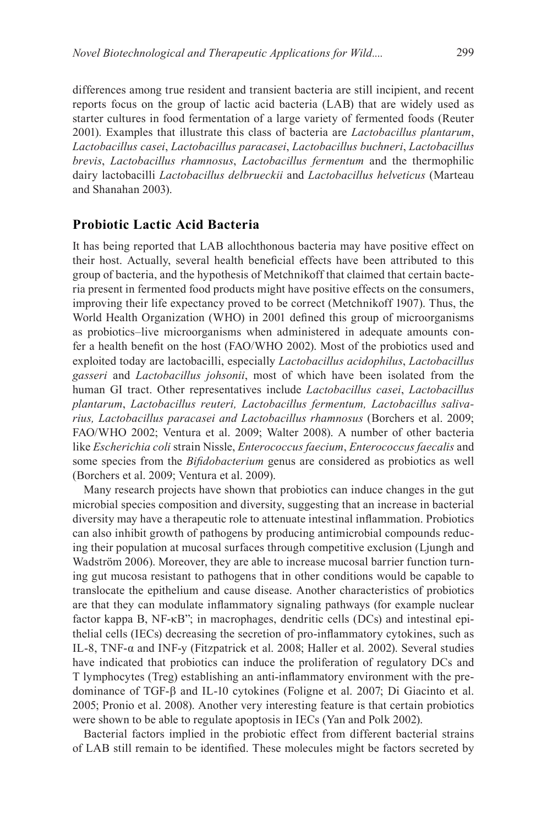differences among true resident and transient bacteria are still incipient, and recent reports focus on the group of lactic acid bacteria (LAB) that are widely used as starter cultures in food fermentation of a large variety of fermented foods (Reuter 2001). Examples that illustrate this class of bacteria are *Lactobacillus plantarum*, *Lactobacillus casei*, *Lactobacillus paracasei*, *Lactobacillus buchneri*, *Lactobacillus brevis*, *Lactobacillus rhamnosus*, *Lactobacillus fermentum* and the thermophilic dairy lactobacilli *Lactobacillus delbrueckii* and *Lactobacillus helveticus* (Marteau and Shanahan 2003).

# **Probiotic Lactic Acid Bacteria**

It has being reported that LAB allochthonous bacteria may have positive effect on their host. Actually, several health beneficial effects have been attributed to this group of bacteria, and the hypothesis of Metchnikoff that claimed that certain bacteria present in fermented food products might have positive effects on the consumers, improving their life expectancy proved to be correct (Metchnikoff 1907). Thus, the World Health Organization (WHO) in 2001 defined this group of microorganisms as probiotics–live microorganisms when administered in adequate amounts confer a health benefit on the host (FAO/WHO 2002). Most of the probiotics used and exploited today are lactobacilli, especially *Lactobacillus acidophilus*, *Lactobacillus gasseri* and *Lactobacillus johsonii*, most of which have been isolated from the human GI tract. Other representatives include *Lactobacillus casei*, *Lactobacillus plantarum*, *Lactobacillus reuteri, Lactobacillus fermentum, Lactobacillus salivarius, Lactobacillus paracasei and Lactobacillus rhamnosus* (Borchers et al. 2009; FAO/WHO 2002; Ventura et al. 2009; Walter 2008). A number of other bacteria like *Escherichia coli* strain Nissle, *Enterococcus faecium*, *Enterococcus faecalis* and some species from the *Bifidobacterium* genus are considered as probiotics as well (Borchers et al. 2009; Ventura et al. 2009).

Many research projects have shown that probiotics can induce changes in the gut microbial species composition and diversity, suggesting that an increase in bacterial diversity may have a therapeutic role to attenuate intestinal inflammation. Probiotics can also inhibit growth of pathogens by producing antimicrobial compounds reducing their population at mucosal surfaces through competitive exclusion (Ljungh and Wadström 2006). Moreover, they are able to increase mucosal barrier function turning gut mucosa resistant to pathogens that in other conditions would be capable to translocate the epithelium and cause disease. Another characteristics of probiotics are that they can modulate inflammatory signaling pathways (for example nuclear factor kappa B, NF-κB"; in macrophages, dendritic cells (DCs) and intestinal epithelial cells (IECs) decreasing the secretion of pro-inflammatory cytokines, such as IL-8, TNF- $\alpha$  and INF-y (Fitzpatrick et al. 2008; Haller et al. 2002). Several studies have indicated that probiotics can induce the proliferation of regulatory DCs and T lymphocytes (Treg) establishing an anti-inflammatory environment with the predominance of TGF-b and IL-10 cytokines (Foligne et al. 2007; Di Giacinto et al. 2005; Pronio et al. 2008). Another very interesting feature is that certain probiotics were shown to be able to regulate apoptosis in IECs (Yan and Polk 2002).

Bacterial factors implied in the probiotic effect from different bacterial strains of LAB still remain to be identified. These molecules might be factors secreted by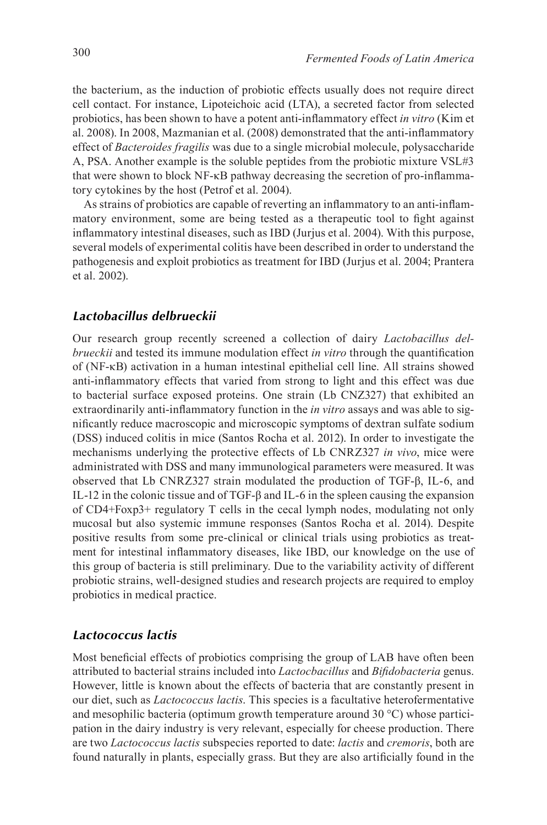the bacterium, as the induction of probiotic effects usually does not require direct cell contact. For instance, Lipoteichoic acid (LTA), a secreted factor from selected probiotics, has been shown to have a potent anti-inflammatory effect *in vitro* (Kim et al. 2008). In 2008, Mazmanian et al. (2008) demonstrated that the anti-inflammatory effect of *Bacteroides fragilis* was due to a single microbial molecule, polysaccharide A, PSA. Another example is the soluble peptides from the probiotic mixture VSL#3 that were shown to block NF-κB pathway decreasing the secretion of pro-inflammatory cytokines by the host (Petrof et al. 2004).

As strains of probiotics are capable of reverting an inflammatory to an anti-inflammatory environment, some are being tested as a therapeutic tool to fight against inflammatory intestinal diseases, such as IBD (Jurjus et al. 2004). With this purpose, several models of experimental colitis have been described in order to understand the pathogenesis and exploit probiotics as treatment for IBD (Jurjus et al. 2004; Prantera et al. 2002).

# **Lactobacillus delbrueckii**

Our research group recently screened a collection of dairy *Lactobacillus delbrueckii* and tested its immune modulation effect *in vitro* through the quantification of (NF-κB) activation in a human intestinal epithelial cell line. All strains showed anti-inflammatory effects that varied from strong to light and this effect was due to bacterial surface exposed proteins. One strain (Lb CNZ327) that exhibited an extraordinarily anti-inflammatory function in the *in vitro* assays and was able to significantly reduce macroscopic and microscopic symptoms of dextran sulfate sodium (DSS) induced colitis in mice (Santos Rocha et al. 2012). In order to investigate the mechanisms underlying the protective effects of Lb CNRZ327 *in vivo*, mice were administrated with DSS and many immunological parameters were measured. It was observed that Lb CNRZ327 strain modulated the production of TGF-β, IL-6, and IL-12 in the colonic tissue and of TGF-β and IL-6 in the spleen causing the expansion of CD4+Foxp3+ regulatory T cells in the cecal lymph nodes, modulating not only mucosal but also systemic immune responses (Santos Rocha et al. 2014). Despite positive results from some pre-clinical or clinical trials using probiotics as treatment for intestinal inflammatory diseases, like IBD, our knowledge on the use of this group of bacteria is still preliminary. Due to the variability activity of different probiotic strains, well-designed studies and research projects are required to employ probiotics in medical practice.

#### **Lactococcus lactis**

Most beneficial effects of probiotics comprising the group of LAB have often been attributed to bacterial strains included into *Lactocbacillus* and *Bifidobacteria* genus. However, little is known about the effects of bacteria that are constantly present in our diet, such as *Lactococcus lactis*. This species is a facultative heterofermentative and mesophilic bacteria (optimum growth temperature around 30 °C) whose participation in the dairy industry is very relevant, especially for cheese production. There are two *Lactococcus lactis* subspecies reported to date: *lactis* and *cremoris*, both are found naturally in plants, especially grass. But they are also artificially found in the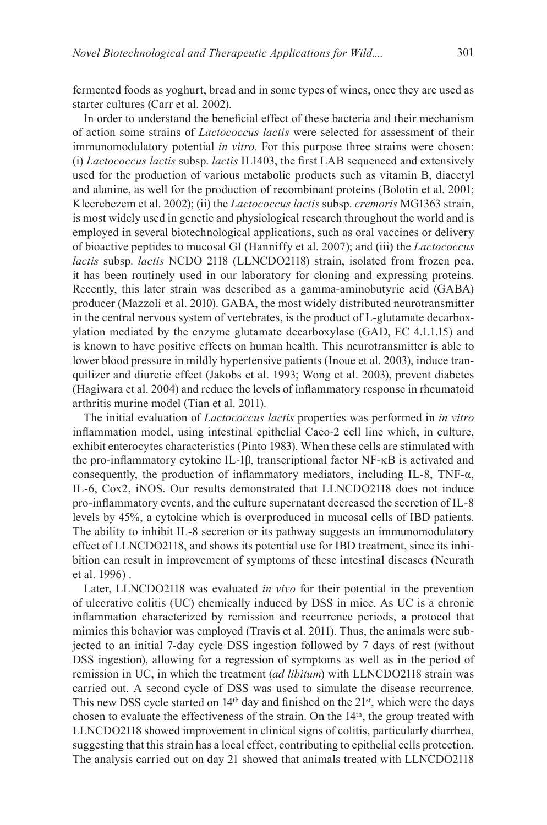fermented foods as yoghurt, bread and in some types of wines, once they are used as starter cultures (Carr et al. 2002).

In order to understand the beneficial effect of these bacteria and their mechanism of action some strains of *Lactococcus lactis* were selected for assessment of their immunomodulatory potential *in vitro*. For this purpose three strains were chosen: (i) *Lactococcus lactis* subsp. *lactis* IL1403, the first LAB sequenced and extensively used for the production of various metabolic products such as vitamin B, diacetyl and alanine, as well for the production of recombinant proteins (Bolotin et al. 2001; Kleerebezem et al. 2002); (ii) the *Lactococcus lactis* subsp. *cremoris* MG1363 strain, is most widely used in genetic and physiological research throughout the world and is employed in several biotechnological applications, such as oral vaccines or delivery of bioactive peptides to mucosal GI (Hanniffy et al. 2007); and (iii) the *Lactococcus lactis* subsp. *lactis* NCDO 2118 (LLNCDO2118) strain, isolated from frozen pea, it has been routinely used in our laboratory for cloning and expressing proteins. Recently, this later strain was described as a gamma-aminobutyric acid (GABA) producer (Mazzoli et al. 2010). GABA, the most widely distributed neurotransmitter in the central nervous system of vertebrates, is the product of L-glutamate decarboxylation mediated by the enzyme glutamate decarboxylase (GAD, EC 4.1.1.15) and is known to have positive effects on human health. This neurotransmitter is able to lower blood pressure in mildly hypertensive patients (Inoue et al. 2003), induce tranquilizer and diuretic effect (Jakobs et al. 1993; Wong et al. 2003), prevent diabetes (Hagiwara et al. 2004) and reduce the levels of inflammatory response in rheumatoid arthritis murine model (Tian et al. 2011).

The initial evaluation of *Lactococcus lactis* properties was performed in *in vitro* inflammation model, using intestinal epithelial Caco-2 cell line which, in culture, exhibit enterocytes characteristics (Pinto 1983). When these cells are stimulated with the pro-inflammatory cytokine IL-1β, transcriptional factor NF-kB is activated and consequently, the production of inflammatory mediators, including IL-8, TNF-α, IL-6, Cox2, iNOS. Our results demonstrated that LLNCDO2118 does not induce pro-inflammatory events, and the culture supernatant decreased the secretion of IL-8 levels by 45%, a cytokine which is overproduced in mucosal cells of IBD patients. The ability to inhibit IL-8 secretion or its pathway suggests an immunomodulatory effect of LLNCDO2118, and shows its potential use for IBD treatment, since its inhibition can result in improvement of symptoms of these intestinal diseases (Neurath et al. 1996) .

Later, LLNCDO2118 was evaluated *in vivo* for their potential in the prevention of ulcerative colitis (UC) chemically induced by DSS in mice. As UC is a chronic inflammation characterized by remission and recurrence periods, a protocol that mimics this behavior was employed (Travis et al. 2011). Thus, the animals were subjected to an initial 7-day cycle DSS ingestion followed by 7 days of rest (without DSS ingestion), allowing for a regression of symptoms as well as in the period of remission in UC, in which the treatment (*ad libitum*) with LLNCDO2118 strain was carried out. A second cycle of DSS was used to simulate the disease recurrence. This new DSS cycle started on 14<sup>th</sup> day and finished on the 21<sup>st</sup>, which were the days chosen to evaluate the effectiveness of the strain. On the 14<sup>th</sup>, the group treated with LLNCDO2118 showed improvement in clinical signs of colitis, particularly diarrhea, suggesting that this strain has a local effect, contributing to epithelial cells protection. The analysis carried out on day 21 showed that animals treated with LLNCDO2118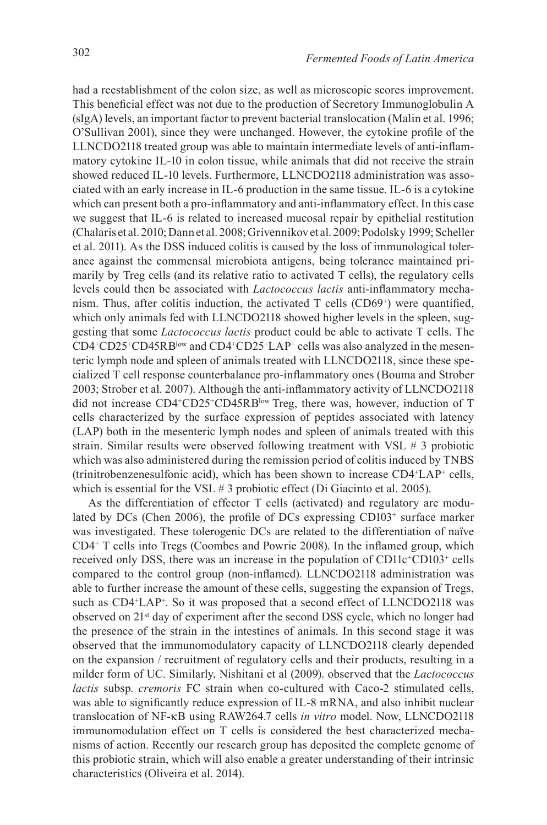had a reestablishment of the colon size, as well as microscopic scores improvement. This beneficial effect was not due to the production of Secretory Immunoglobulin A (sIgA) levels, an important factor to prevent bacterial translocation (Malin et al. 1996; O'Sullivan 2001), since they were unchanged. However, the cytokine profile of the LLNCDO2118 treated group was able to maintain intermediate levels of anti-inflammatory cytokine IL-10 in colon tissue, while animals that did not receive the strain showed reduced IL-10 levels. Furthermore, LLNCDO2118 administration was associated with an early increase in IL-6 production in the same tissue. IL-6 is a cytokine which can present both a pro-inflammatory and anti-inflammatory effect. In this case we suggest that IL-6 is related to increased mucosal repair by epithelial restitution (Chalaris et al. 2010; Dann et al. 2008; Grivennikov et al. 2009; Podolsky 1999; Scheller et al. 2011). As the DSS induced colitis is caused by the loss of immunological tolerance against the commensal microbiota antigens, being tolerance maintained primarily by Treg cells (and its relative ratio to activated T cells), the regulatory cells levels could then be associated with *Lactococcus lactis* anti-inflammatory mechanism. Thus, after colitis induction, the activated T cells (CD69<sup>+</sup>) were quantified, which only animals fed with LLNCDO2118 showed higher levels in the spleen, suggesting that some *Lactococcus lactis* product could be able to activate T cells. The CD4+CD25+CD45RBlow and CD4+CD25+LAP+ cells was also analyzed in the mesenteric lymph node and spleen of animals treated with LLNCDO2118, since these specialized T cell response counterbalance pro-inflammatory ones (Bouma and Strober 2003; Strober et al. 2007). Although the anti-inflammatory activity of LLNCDO2118 did not increase CD4+CD25+CD45RBlow Treg, there was, however, induction of T cells characterized by the surface expression of peptides associated with latency (LAP) both in the mesenteric lymph nodes and spleen of animals treated with this strain. Similar results were observed following treatment with VSL # 3 probiotic which was also administered during the remission period of colitis induced by TNBS (trinitrobenzenesulfonic acid), which has been shown to increase  $CD4+LAP^+$  cells, which is essential for the VSL # 3 probiotic effect (Di Giacinto et al. 2005).

 As the differentiation of effector T cells (activated) and regulatory are modulated by DCs (Chen 2006), the profile of DCs expressing CD103<sup>+</sup> surface marker was investigated. These tolerogenic DCs are related to the differentiation of naïve CD4+ T cells into Tregs (Coombes and Powrie 2008). In the inflamed group, which received only DSS, there was an increase in the population of CD11c<sup>+</sup>CD103<sup>+</sup> cells compared to the control group (non-inflamed). LLNCDO2118 administration was able to further increase the amount of these cells, suggesting the expansion of Tregs, such as CD4<sup>+</sup>LAP<sup>+</sup>. So it was proposed that a second effect of LLNCDO2118 was observed on 21st day of experiment after the second DSS cycle, which no longer had the presence of the strain in the intestines of animals. In this second stage it was observed that the immunomodulatory capacity of LLNCDO2118 clearly depended on the expansion / recruitment of regulatory cells and their products, resulting in a milder form of UC. Similarly, Nishitani et al (2009). observed that the *Lactococcus lactis* subsp. *cremoris* FC strain when co-cultured with Caco-2 stimulated cells, was able to significantly reduce expression of IL-8 mRNA, and also inhibit nuclear translocation of NF-kB using RAW264.7 cells *in vitro* model. Now, LLNCDO2118 immunomodulation effect on T cells is considered the best characterized mechanisms of action. Recently our research group has deposited the complete genome of this probiotic strain, which will also enable a greater understanding of their intrinsic characteristics (Oliveira et al. 2014).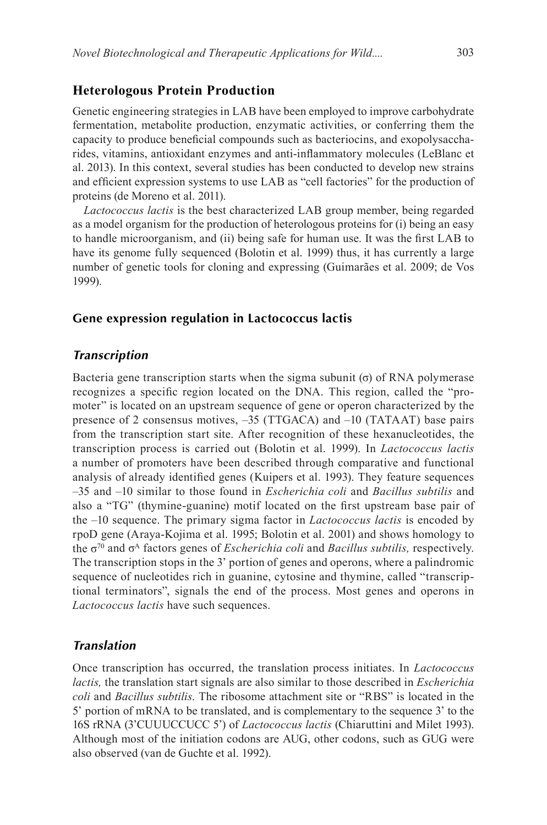# **Heterologous Protein Production**

Genetic engineering strategies in LAB have been employed to improve carbohydrate fermentation, metabolite production, enzymatic activities, or conferring them the capacity to produce beneficial compounds such as bacteriocins, and exopolysaccharides, vitamins, antioxidant enzymes and anti-inflammatory molecules (LeBlanc et al. 2013). In this context, several studies has been conducted to develop new strains and efficient expression systems to use LAB as "cell factories" for the production of proteins (de Moreno et al. 2011).

*Lactococcus lactis* is the best characterized LAB group member, being regarded as a model organism for the production of heterologous proteins for (i) being an easy to handle microorganism, and (ii) being safe for human use. It was the first LAB to have its genome fully sequenced (Bolotin et al. 1999) thus, it has currently a large number of genetic tools for cloning and expressing (Guimarães et al. 2009; de Vos 1999).

#### **Gene expression regulation in Lactococcus lactis**

#### **Transcription**

Bacteria gene transcription starts when the sigma subunit (σ) of RNA polymerase recognizes a specific region located on the DNA. This region, called the "promoter" is located on an upstream sequence of gene or operon characterized by the presence of 2 consensus motives, –35 (TTGACA) and –10 (TATAAT) base pairs from the transcription start site. After recognition of these hexanucleotides, the transcription process is carried out (Bolotin et al. 1999). In *Lactococcus lactis* a number of promoters have been described through comparative and functional analysis of already identified genes (Kuipers et al. 1993). They feature sequences –35 and –10 similar to those found in *Escherichia coli* and *Bacillus subtilis* and also a "TG" (thymine-guanine) motif located on the first upstream base pair of the –10 sequence. The primary sigma factor in *Lactococcus lactis* is encoded by rpoD gene (Araya-Kojima et al. 1995; Bolotin et al. 2001) and shows homology to the σ<sup>70</sup> and σA factors genes of *Escherichia coli* and *Bacillus subtilis,* respectively. The transcription stops in the 3' portion of genes and operons, where a palindromic sequence of nucleotides rich in guanine, cytosine and thymine, called "transcriptional terminators", signals the end of the process. Most genes and operons in *Lactococcus lactis* have such sequences.

#### **Translation**

Once transcription has occurred, the translation process initiates. In *Lactococcus lactis,* the translation start signals are also similar to those described in *Escherichia coli* and *Bacillus subtilis*. The ribosome attachment site or "RBS" is located in the 5' portion of mRNA to be translated, and is complementary to the sequence 3' to the 16S rRNA (3'CUUUCCUCC 5') of *Lactococcus lactis* (Chiaruttini and Milet 1993). Although most of the initiation codons are AUG, other codons, such as GUG were also observed (van de Guchte et al. 1992).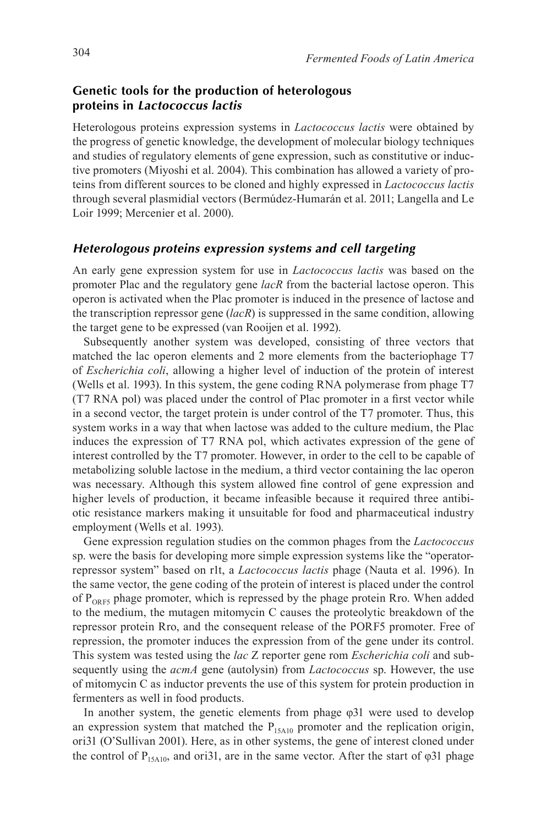### **Genetic tools for the production of heterologous proteins in Lactococcus lactis**

Heterologous proteins expression systems in *Lactococcus lactis* were obtained by the progress of genetic knowledge, the development of molecular biology techniques and studies of regulatory elements of gene expression, such as constitutive or inductive promoters (Miyoshi et al. 2004). This combination has allowed a variety of proteins from different sources to be cloned and highly expressed in *Lactococcus lactis* through several plasmidial vectors (Bermúdez-Humarán et al. 2011; Langella and Le Loir 1999; Mercenier et al. 2000).

#### **Heterologous proteins expression systems and cell targeting**

An early gene expression system for use in *Lactococcus lactis* was based on the promoter Plac and the regulatory gene *lacR* from the bacterial lactose operon. This operon is activated when the Plac promoter is induced in the presence of lactose and the transcription repressor gene (*lacR*) is suppressed in the same condition, allowing the target gene to be expressed (van Rooijen et al. 1992).

Subsequently another system was developed, consisting of three vectors that matched the lac operon elements and 2 more elements from the bacteriophage T7 of *Escherichia coli*, allowing a higher level of induction of the protein of interest (Wells et al. 1993). In this system, the gene coding RNA polymerase from phage T7 (T7 RNA pol) was placed under the control of Plac promoter in a first vector while in a second vector, the target protein is under control of the T7 promoter. Thus, this system works in a way that when lactose was added to the culture medium, the Plac induces the expression of T7 RNA pol, which activates expression of the gene of interest controlled by the T7 promoter. However, in order to the cell to be capable of metabolizing soluble lactose in the medium, a third vector containing the lac operon was necessary. Although this system allowed fine control of gene expression and higher levels of production, it became infeasible because it required three antibiotic resistance markers making it unsuitable for food and pharmaceutical industry employment (Wells et al. 1993).

Gene expression regulation studies on the common phages from the *Lactococcus*  sp. were the basis for developing more simple expression systems like the "operatorrepressor system" based on r1t, a *Lactococcus lactis* phage (Nauta et al. 1996). In the same vector, the gene coding of the protein of interest is placed under the control of  $P_{ORFS}$  phage promoter, which is repressed by the phage protein Rro. When added to the medium, the mutagen mitomycin C causes the proteolytic breakdown of the repressor protein Rro, and the consequent release of the PORF5 promoter. Free of repression, the promoter induces the expression from of the gene under its control. This system was tested using the *lac* Z reporter gene rom *Escherichia coli* and subsequently using the *acmA* gene (autolysin) from *Lactococcus* sp. However, the use of mitomycin C as inductor prevents the use of this system for protein production in fermenters as well in food products.

In another system, the genetic elements from phage φ31 were used to develop an expression system that matched the  $P_{15A10}$  promoter and the replication origin, ori31 (O'Sullivan 2001). Here, as in other systems, the gene of interest cloned under the control of  $P_{15A10}$ , and ori31, are in the same vector. After the start of  $\varphi$ 31 phage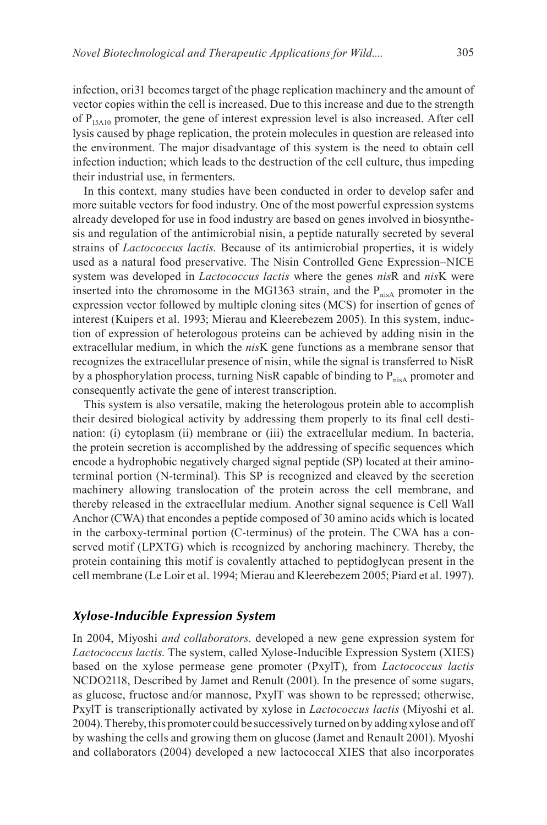infection, ori31 becomes target of the phage replication machinery and the amount of vector copies within the cell is increased. Due to this increase and due to the strength of  $P<sub>15A10</sub>$  promoter, the gene of interest expression level is also increased. After cell lysis caused by phage replication, the protein molecules in question are released into the environment. The major disadvantage of this system is the need to obtain cell infection induction; which leads to the destruction of the cell culture, thus impeding their industrial use, in fermenters.

In this context, many studies have been conducted in order to develop safer and more suitable vectors for food industry. One of the most powerful expression systems already developed for use in food industry are based on genes involved in biosynthesis and regulation of the antimicrobial nisin, a peptide naturally secreted by several strains of *Lactococcus lactis.* Because of its antimicrobial properties, it is widely used as a natural food preservative. The Nisin Controlled Gene Expression–NICE system was developed in *Lactococcus lactis* where the genes *nis*R and *nis*K were inserted into the chromosome in the MG1363 strain, and the  $P_{nisA}$  promoter in the expression vector followed by multiple cloning sites (MCS) for insertion of genes of interest (Kuipers et al. 1993; Mierau and Kleerebezem 2005). In this system, induction of expression of heterologous proteins can be achieved by adding nisin in the extracellular medium, in which the *nis*K gene functions as a membrane sensor that recognizes the extracellular presence of nisin, while the signal is transferred to NisR by a phosphorylation process, turning NisR capable of binding to  $P_{nisA}$  promoter and consequently activate the gene of interest transcription.

This system is also versatile, making the heterologous protein able to accomplish their desired biological activity by addressing them properly to its final cell destination: (i) cytoplasm (ii) membrane or (iii) the extracellular medium. In bacteria, the protein secretion is accomplished by the addressing of specific sequences which encode a hydrophobic negatively charged signal peptide (SP) located at their aminoterminal portion (N-terminal). This SP is recognized and cleaved by the secretion machinery allowing translocation of the protein across the cell membrane, and thereby released in the extracellular medium. Another signal sequence is Cell Wall Anchor (CWA) that encondes a peptide composed of 30 amino acids which is located in the carboxy-terminal portion (C-terminus) of the protein. The CWA has a conserved motif (LPXTG) which is recognized by anchoring machinery. Thereby, the protein containing this motif is covalently attached to peptidoglycan present in the cell membrane (Le Loir et al. 1994; Mierau and Kleerebezem 2005; Piard et al. 1997).

#### **Xylose-Inducible Expression System**

In 2004, Miyoshi *and collaborators*. developed a new gene expression system for *Lactococcus lactis*. The system, called Xylose-Inducible Expression System (XIES) based on the xylose permease gene promoter (PxylT), from *Lactococcus lactis* NCDO2118, Described by Jamet and Renult (2001). In the presence of some sugars, as glucose, fructose and/or mannose, PxylT was shown to be repressed; otherwise, PxylT is transcriptionally activated by xylose in *Lactococcus lactis* (Miyoshi et al. 2004). Thereby, this promoter could be successively turned on by adding xylose and off by washing the cells and growing them on glucose (Jamet and Renault 2001). Myoshi and collaborators (2004) developed a new lactococcal XIES that also incorporates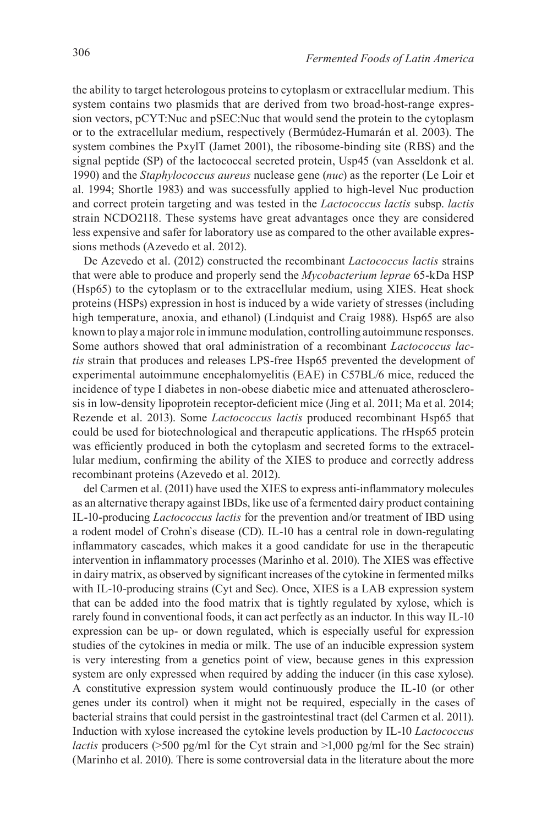the ability to target heterologous proteins to cytoplasm or extracellular medium. This system contains two plasmids that are derived from two broad-host-range expression vectors, pCYT:Nuc and pSEC:Nuc that would send the protein to the cytoplasm or to the extracellular medium, respectively (Bermúdez-Humarán et al. 2003). The system combines the PxylT (Jamet 2001), the ribosome-binding site (RBS) and the signal peptide (SP) of the lactococcal secreted protein, Usp45 (van Asseldonk et al. 1990) and the *Staphylococcus aureus* nuclease gene (*nuc*) as the reporter (Le Loir et al. 1994; Shortle 1983) and was successfully applied to high-level Nuc production and correct protein targeting and was tested in the *Lactococcus lactis* subsp. *lactis*  strain NCDO2118. These systems have great advantages once they are considered less expensive and safer for laboratory use as compared to the other available expressions methods (Azevedo et al. 2012).

De Azevedo et al. (2012) constructed the recombinant *Lactococcus lactis* strains that were able to produce and properly send the *Mycobacterium leprae* 65-kDa HSP (Hsp65) to the cytoplasm or to the extracellular medium, using XIES. Heat shock proteins (HSPs) expression in host is induced by a wide variety of stresses (including high temperature, anoxia, and ethanol) (Lindquist and Craig 1988). Hsp65 are also known to play a major role in immune modulation, controlling autoimmune responses. Some authors showed that oral administration of a recombinant *Lactococcus lactis* strain that produces and releases LPS-free Hsp65 prevented the development of experimental autoimmune encephalomyelitis (EAE) in C57BL/6 mice, reduced the incidence of type I diabetes in non-obese diabetic mice and attenuated atherosclerosis in low-density lipoprotein receptor-deficient mice (Jing et al. 2011; Ma et al. 2014; Rezende et al. 2013). Some *Lactococcus lactis* produced recombinant Hsp65 that could be used for biotechnological and therapeutic applications. The rHsp65 protein was efficiently produced in both the cytoplasm and secreted forms to the extracellular medium, confirming the ability of the XIES to produce and correctly address recombinant proteins (Azevedo et al. 2012).

del Carmen et al. (2011) have used the XIES to express anti-inflammatory molecules as an alternative therapy against IBDs, like use of a fermented dairy product containing IL-10-producing *Lactococcus lactis* for the prevention and/or treatment of IBD using a rodent model of Crohn`s disease (CD). IL-10 has a central role in down-regulating inflammatory cascades, which makes it a good candidate for use in the therapeutic intervention in inflammatory processes (Marinho et al. 2010). The XIES was effective in dairy matrix, as observed by significant increases of the cytokine in fermented milks with IL-10-producing strains (Cyt and Sec). Once, XIES is a LAB expression system that can be added into the food matrix that is tightly regulated by xylose, which is rarely found in conventional foods, it can act perfectly as an inductor. In this way IL-10 expression can be up- or down regulated, which is especially useful for expression studies of the cytokines in media or milk. The use of an inducible expression system is very interesting from a genetics point of view, because genes in this expression system are only expressed when required by adding the inducer (in this case xylose). A constitutive expression system would continuously produce the IL-10 (or other genes under its control) when it might not be required, especially in the cases of bacterial strains that could persist in the gastrointestinal tract (del Carmen et al. 2011). Induction with xylose increased the cytokine levels production by IL-10 *Lactococcus lactis* producers (>500 pg/ml for the Cyt strain and >1,000 pg/ml for the Sec strain) (Marinho et al. 2010). There is some controversial data in the literature about the more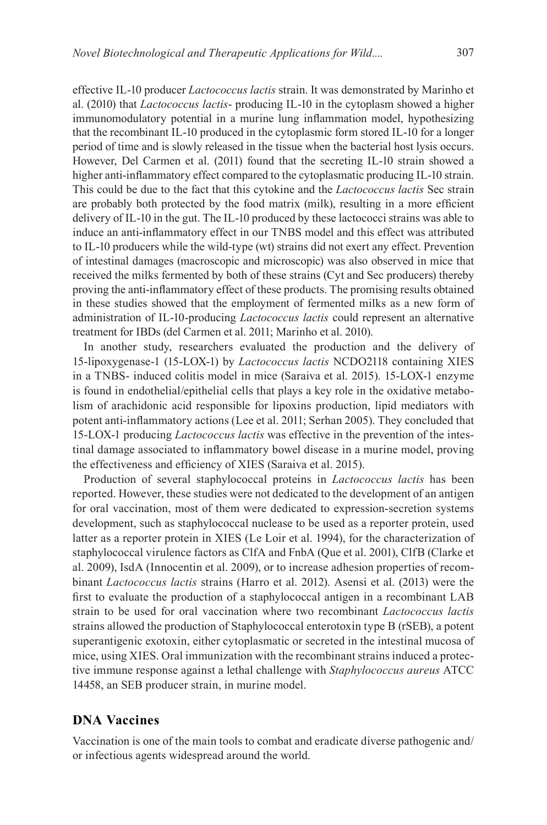effective IL-10 producer *Lactococcus lactis* strain. It was demonstrated by Marinho et al. (2010) that *Lactococcus lactis*- producing IL-10 in the cytoplasm showed a higher immunomodulatory potential in a murine lung inflammation model, hypothesizing that the recombinant IL-10 produced in the cytoplasmic form stored IL-10 for a longer period of time and is slowly released in the tissue when the bacterial host lysis occurs. However, Del Carmen et al. (2011) found that the secreting IL-10 strain showed a higher anti-inflammatory effect compared to the cytoplasmatic producing IL-10 strain. This could be due to the fact that this cytokine and the *Lactococcus lactis* Sec strain are probably both protected by the food matrix (milk), resulting in a more efficient delivery of IL-10 in the gut. The IL-10 produced by these lactococci strains was able to induce an anti-inflammatory effect in our TNBS model and this effect was attributed to IL-10 producers while the wild-type (wt) strains did not exert any effect. Prevention of intestinal damages (macroscopic and microscopic) was also observed in mice that received the milks fermented by both of these strains (Cyt and Sec producers) thereby proving the anti-inflammatory effect of these products. The promising results obtained in these studies showed that the employment of fermented milks as a new form of administration of IL-10-producing *Lactococcus lactis* could represent an alternative treatment for IBDs (del Carmen et al. 2011; Marinho et al. 2010).

In another study, researchers evaluated the production and the delivery of 15-lipoxygenase-1 (15-LOX-1) by *Lactococcus lactis* NCDO2118 containing XIES in a TNBS- induced colitis model in mice (Saraiva et al. 2015). 15-LOX-1 enzyme is found in endothelial/epithelial cells that plays a key role in the oxidative metabolism of arachidonic acid responsible for lipoxins production, lipid mediators with potent anti-inflammatory actions (Lee et al. 2011; Serhan 2005). They concluded that 15-LOX-1 producing *Lactococcus lactis* was effective in the prevention of the intestinal damage associated to inflammatory bowel disease in a murine model, proving the effectiveness and efficiency of XIES (Saraiva et al. 2015).

Production of several staphylococcal proteins in *Lactococcus lactis* has been reported. However, these studies were not dedicated to the development of an antigen for oral vaccination, most of them were dedicated to expression-secretion systems development, such as staphylococcal nuclease to be used as a reporter protein, used latter as a reporter protein in XIES (Le Loir et al. 1994), for the characterization of staphylococcal virulence factors as ClfA and FnbA (Que et al. 2001), ClfB (Clarke et al. 2009), IsdA (Innocentin et al. 2009), or to increase adhesion properties of recombinant *Lactococcus lactis* strains (Harro et al. 2012). Asensi et al. (2013) were the first to evaluate the production of a staphylococcal antigen in a recombinant LAB strain to be used for oral vaccination where two recombinant *Lactococcus lactis* strains allowed the production of Staphylococcal enterotoxin type B (rSEB), a potent superantigenic exotoxin, either cytoplasmatic or secreted in the intestinal mucosa of mice, using XIES. Oral immunization with the recombinant strains induced a protective immune response against a lethal challenge with *Staphylococcus aureus* ATCC 14458, an SEB producer strain, in murine model.

## **DNA Vaccines**

Vaccination is one of the main tools to combat and eradicate diverse pathogenic and/ or infectious agents widespread around the world.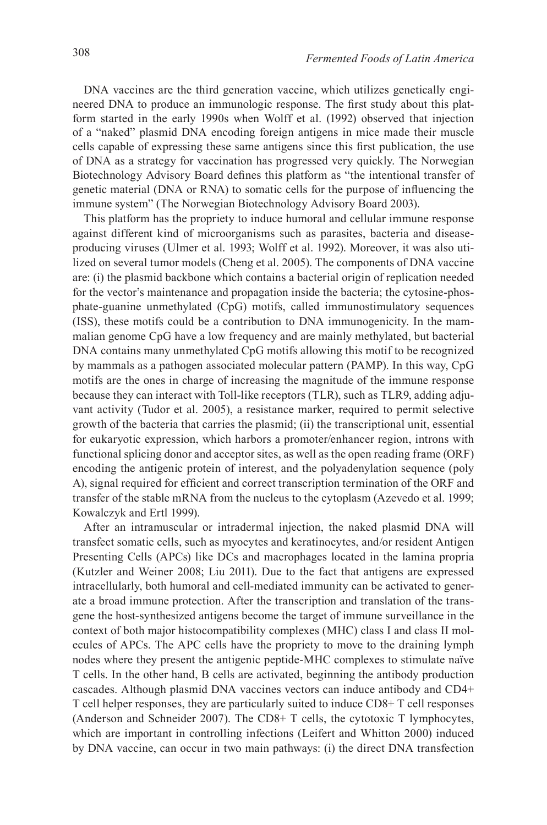DNA vaccines are the third generation vaccine, which utilizes genetically engineered DNA to produce an immunologic response. The first study about this platform started in the early 1990s when Wolff et al. (1992) observed that injection of a "naked" plasmid DNA encoding foreign antigens in mice made their muscle cells capable of expressing these same antigens since this first publication, the use of DNA as a strategy for vaccination has progressed very quickly. The Norwegian Biotechnology Advisory Board defines this platform as "the intentional transfer of genetic material (DNA or RNA) to somatic cells for the purpose of influencing the immune system" (The Norwegian Biotechnology Advisory Board 2003).

This platform has the propriety to induce humoral and cellular immune response against different kind of microorganisms such as parasites, bacteria and diseaseproducing viruses (Ulmer et al. 1993; Wolff et al. 1992). Moreover, it was also utilized on several tumor models (Cheng et al. 2005). The components of DNA vaccine are: (i) the plasmid backbone which contains a bacterial origin of replication needed for the vector's maintenance and propagation inside the bacteria; the cytosine-phosphate-guanine unmethylated (CpG) motifs, called immunostimulatory sequences (ISS), these motifs could be a contribution to DNA immunogenicity. In the mammalian genome CpG have a low frequency and are mainly methylated, but bacterial DNA contains many unmethylated CpG motifs allowing this motif to be recognized by mammals as a pathogen associated molecular pattern (PAMP). In this way, CpG motifs are the ones in charge of increasing the magnitude of the immune response because they can interact with Toll-like receptors (TLR), such as TLR9, adding adjuvant activity (Tudor et al. 2005), a resistance marker, required to permit selective growth of the bacteria that carries the plasmid; (ii) the transcriptional unit, essential for eukaryotic expression, which harbors a promoter/enhancer region, introns with functional splicing donor and acceptor sites, as well as the open reading frame (ORF) encoding the antigenic protein of interest, and the polyadenylation sequence (poly A), signal required for efficient and correct transcription termination of the ORF and transfer of the stable mRNA from the nucleus to the cytoplasm (Azevedo et al. 1999; Kowalczyk and Ertl 1999).

After an intramuscular or intradermal injection, the naked plasmid DNA will transfect somatic cells, such as myocytes and keratinocytes, and/or resident Antigen Presenting Cells (APCs) like DCs and macrophages located in the lamina propria (Kutzler and Weiner 2008; Liu 2011). Due to the fact that antigens are expressed intracellularly, both humoral and cell-mediated immunity can be activated to generate a broad immune protection. After the transcription and translation of the transgene the host-synthesized antigens become the target of immune surveillance in the context of both major histocompatibility complexes (MHC) class I and class II molecules of APCs. The APC cells have the propriety to move to the draining lymph nodes where they present the antigenic peptide-MHC complexes to stimulate naïve T cells. In the other hand, B cells are activated, beginning the antibody production cascades. Although plasmid DNA vaccines vectors can induce antibody and CD4+ T cell helper responses, they are particularly suited to induce CD8+ T cell responses (Anderson and Schneider 2007). The CD8+ T cells, the cytotoxic T lymphocytes, which are important in controlling infections (Leifert and Whitton 2000) induced by DNA vaccine, can occur in two main pathways: (i) the direct DNA transfection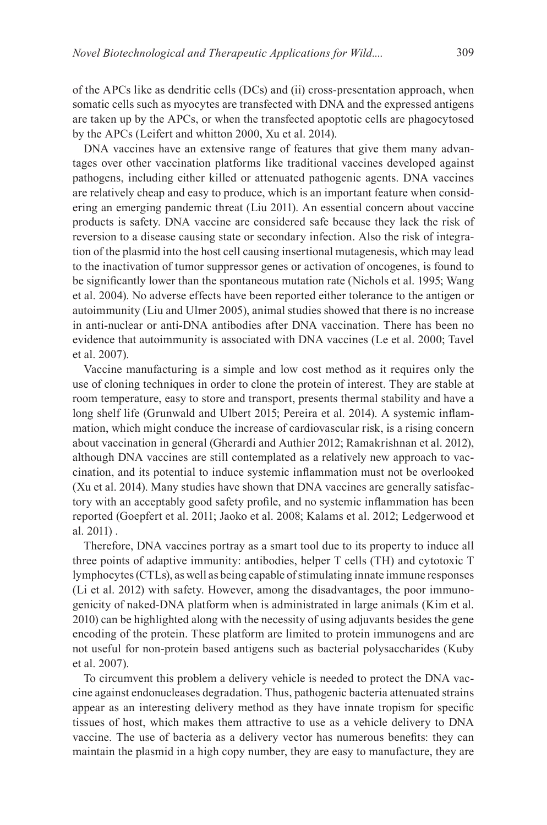of the APCs like as dendritic cells (DCs) and (ii) cross-presentation approach, when somatic cells such as myocytes are transfected with DNA and the expressed antigens are taken up by the APCs, or when the transfected apoptotic cells are phagocytosed by the APCs (Leifert and whitton 2000, Xu et al. 2014).

DNA vaccines have an extensive range of features that give them many advantages over other vaccination platforms like traditional vaccines developed against pathogens, including either killed or attenuated pathogenic agents. DNA vaccines are relatively cheap and easy to produce, which is an important feature when considering an emerging pandemic threat (Liu 2011). An essential concern about vaccine products is safety. DNA vaccine are considered safe because they lack the risk of reversion to a disease causing state or secondary infection. Also the risk of integration of the plasmid into the host cell causing insertional mutagenesis, which may lead to the inactivation of tumor suppressor genes or activation of oncogenes, is found to be significantly lower than the spontaneous mutation rate (Nichols et al. 1995; Wang et al. 2004). No adverse effects have been reported either tolerance to the antigen or autoimmunity (Liu and Ulmer 2005), animal studies showed that there is no increase in anti-nuclear or anti-DNA antibodies after DNA vaccination. There has been no evidence that autoimmunity is associated with DNA vaccines (Le et al. 2000; Tavel et al. 2007).

Vaccine manufacturing is a simple and low cost method as it requires only the use of cloning techniques in order to clone the protein of interest. They are stable at room temperature, easy to store and transport, presents thermal stability and have a long shelf life (Grunwald and Ulbert 2015; Pereira et al. 2014). A systemic inflammation, which might conduce the increase of cardiovascular risk, is a rising concern about vaccination in general (Gherardi and Authier 2012; Ramakrishnan et al. 2012), although DNA vaccines are still contemplated as a relatively new approach to vaccination, and its potential to induce systemic inflammation must not be overlooked (Xu et al. 2014). Many studies have shown that DNA vaccines are generally satisfactory with an acceptably good safety profile, and no systemic inflammation has been reported (Goepfert et al. 2011; Jaoko et al. 2008; Kalams et al. 2012; Ledgerwood et al. 2011) .

Therefore, DNA vaccines portray as a smart tool due to its property to induce all three points of adaptive immunity: antibodies, helper T cells (TH) and cytotoxic T lymphocytes (CTLs), as well as being capable of stimulating innate immune responses (Li et al. 2012) with safety. However, among the disadvantages, the poor immunogenicity of naked-DNA platform when is administrated in large animals (Kim et al. 2010) can be highlighted along with the necessity of using adjuvants besides the gene encoding of the protein. These platform are limited to protein immunogens and are not useful for non-protein based antigens such as bacterial polysaccharides (Kuby et al. 2007).

To circumvent this problem a delivery vehicle is needed to protect the DNA vaccine against endonucleases degradation. Thus, pathogenic bacteria attenuated strains appear as an interesting delivery method as they have innate tropism for specific tissues of host, which makes them attractive to use as a vehicle delivery to DNA vaccine. The use of bacteria as a delivery vector has numerous benefits: they can maintain the plasmid in a high copy number, they are easy to manufacture, they are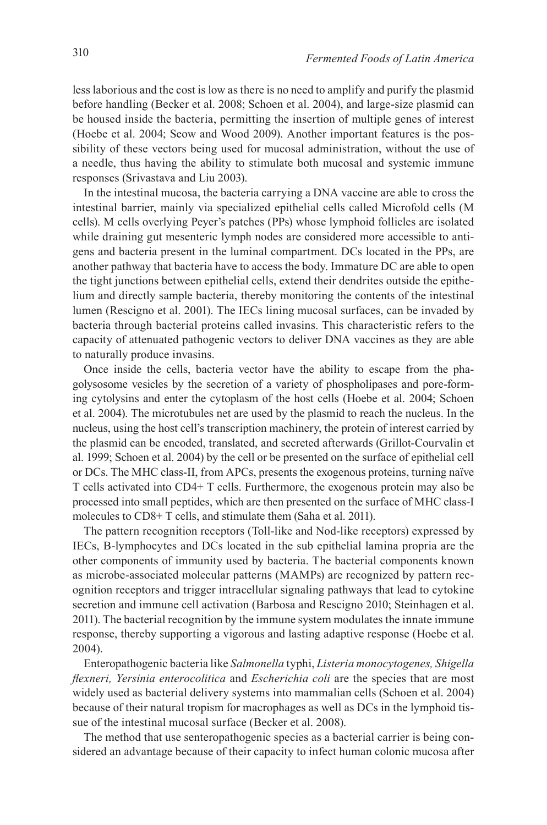less laborious and the cost is low as there is no need to amplify and purify the plasmid before handling (Becker et al. 2008; Schoen et al. 2004), and large-size plasmid can be housed inside the bacteria, permitting the insertion of multiple genes of interest (Hoebe et al. 2004; Seow and Wood 2009). Another important features is the possibility of these vectors being used for mucosal administration, without the use of a needle, thus having the ability to stimulate both mucosal and systemic immune responses (Srivastava and Liu 2003).

In the intestinal mucosa, the bacteria carrying a DNA vaccine are able to cross the intestinal barrier, mainly via specialized epithelial cells called Microfold cells (M cells). M cells overlying Peyer's patches (PPs) whose lymphoid follicles are isolated while draining gut mesenteric lymph nodes are considered more accessible to antigens and bacteria present in the luminal compartment. DCs located in the PPs, are another pathway that bacteria have to access the body. Immature DC are able to open the tight junctions between epithelial cells, extend their dendrites outside the epithelium and directly sample bacteria, thereby monitoring the contents of the intestinal lumen (Rescigno et al. 2001). The IECs lining mucosal surfaces, can be invaded by bacteria through bacterial proteins called invasins. This characteristic refers to the capacity of attenuated pathogenic vectors to deliver DNA vaccines as they are able to naturally produce invasins.

Once inside the cells, bacteria vector have the ability to escape from the phagolysosome vesicles by the secretion of a variety of phospholipases and pore-forming cytolysins and enter the cytoplasm of the host cells (Hoebe et al. 2004; Schoen et al. 2004). The microtubules net are used by the plasmid to reach the nucleus. In the nucleus, using the host cell's transcription machinery, the protein of interest carried by the plasmid can be encoded, translated, and secreted afterwards (Grillot-Courvalin et al. 1999; Schoen et al. 2004) by the cell or be presented on the surface of epithelial cell or DCs. The MHC class-II, from APCs, presents the exogenous proteins, turning naïve T cells activated into CD4+ T cells. Furthermore, the exogenous protein may also be processed into small peptides, which are then presented on the surface of MHC class-I molecules to CD8+ T cells, and stimulate them (Saha et al. 2011).

The pattern recognition receptors (Toll-like and Nod-like receptors) expressed by IECs, B-lymphocytes and DCs located in the sub epithelial lamina propria are the other components of immunity used by bacteria. The bacterial components known as microbe-associated molecular patterns (MAMPs) are recognized by pattern recognition receptors and trigger intracellular signaling pathways that lead to cytokine secretion and immune cell activation (Barbosa and Rescigno 2010; Steinhagen et al. 2011). The bacterial recognition by the immune system modulates the innate immune response, thereby supporting a vigorous and lasting adaptive response (Hoebe et al. 2004).

Enteropathogenic bacteria like *Salmonella* typhi, *Listeria monocytogenes, Shigella flexneri, Yersinia enterocolitica* and *Escherichia coli* are the species that are most widely used as bacterial delivery systems into mammalian cells (Schoen et al. 2004) because of their natural tropism for macrophages as well as DCs in the lymphoid tissue of the intestinal mucosal surface (Becker et al. 2008).

The method that use senteropathogenic species as a bacterial carrier is being considered an advantage because of their capacity to infect human colonic mucosa after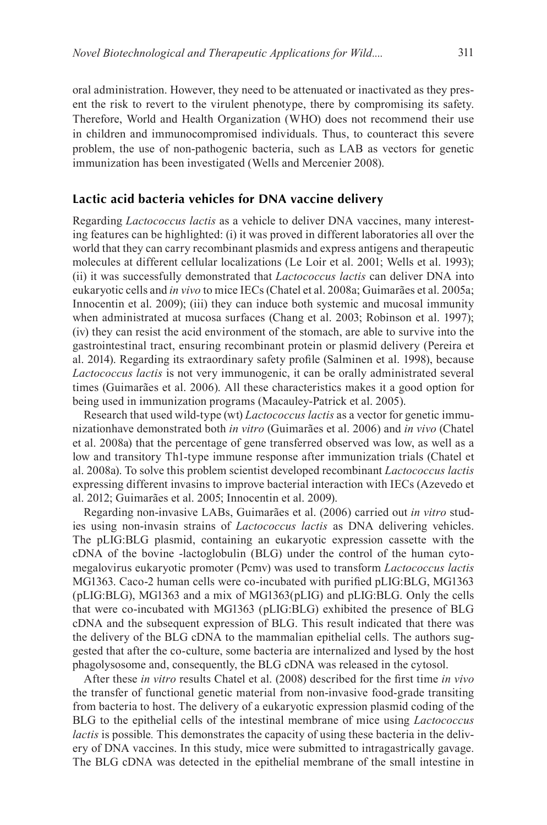oral administration. However, they need to be attenuated or inactivated as they present the risk to revert to the virulent phenotype, there by compromising its safety. Therefore, World and Health Organization (WHO) does not recommend their use in children and immunocompromised individuals. Thus, to counteract this severe problem, the use of non-pathogenic bacteria, such as LAB as vectors for genetic immunization has been investigated (Wells and Mercenier 2008).

# **Lactic acid bacteria vehicles for DNA vaccine delivery**

Regarding *Lactococcus lactis* as a vehicle to deliver DNA vaccines, many interesting features can be highlighted: (i) it was proved in different laboratories all over the world that they can carry recombinant plasmids and express antigens and therapeutic molecules at different cellular localizations (Le Loir et al. 2001; Wells et al. 1993); (ii) it was successfully demonstrated that *Lactococcus lactis* can deliver DNA into eukaryotic cells and *in vivo* to mice IECs (Chatel et al. 2008a; Guimarães et al. 2005a; Innocentin et al. 2009); (iii) they can induce both systemic and mucosal immunity when administrated at mucosa surfaces (Chang et al. 2003; Robinson et al. 1997); (iv) they can resist the acid environment of the stomach, are able to survive into the gastrointestinal tract, ensuring recombinant protein or plasmid delivery (Pereira et al. 2014). Regarding its extraordinary safety profile (Salminen et al. 1998), because *Lactococcus lactis* is not very immunogenic, it can be orally administrated several times (Guimarães et al. 2006). All these characteristics makes it a good option for being used in immunization programs (Macauley-Patrick et al. 2005).

Research that used wild-type (wt) *Lactococcus lactis* as a vector for genetic immunizationhave demonstrated both *in vitro* (Guimarães et al. 2006) and *in vivo* (Chatel et al. 2008a) that the percentage of gene transferred observed was low, as well as a low and transitory Th1-type immune response after immunization trials (Chatel et al. 2008a). To solve this problem scientist developed recombinant *Lactococcus lactis* expressing different invasins to improve bacterial interaction with IECs (Azevedo et al. 2012; Guimarães et al. 2005; Innocentin et al. 2009).

Regarding non-invasive LABs, Guimarães et al. (2006) carried out *in vitro* studies using non-invasin strains of *Lactococcus lactis* as DNA delivering vehicles. The pLIG:BLG plasmid, containing an eukaryotic expression cassette with the cDNA of the bovine -lactoglobulin (BLG) under the control of the human cytomegalovirus eukaryotic promoter (Pcmv) was used to transform *Lactococcus lactis*  MG1363. Caco-2 human cells were co-incubated with purified pLIG:BLG, MG1363 (pLIG:BLG), MG1363 and a mix of MG1363(pLIG) and pLIG:BLG. Only the cells that were co-incubated with MG1363 (pLIG:BLG) exhibited the presence of BLG cDNA and the subsequent expression of BLG. This result indicated that there was the delivery of the BLG cDNA to the mammalian epithelial cells. The authors suggested that after the co-culture, some bacteria are internalized and lysed by the host phagolysosome and, consequently, the BLG cDNA was released in the cytosol.

After these *in vitro* results Chatel et al. (2008) described for the first time *in vivo* the transfer of functional genetic material from non-invasive food-grade transiting from bacteria to host. The delivery of a eukaryotic expression plasmid coding of the BLG to the epithelial cells of the intestinal membrane of mice using *Lactococcus lactis* is possible. This demonstrates the capacity of using these bacteria in the delivery of DNA vaccines. In this study, mice were submitted to intragastrically gavage. The BLG cDNA was detected in the epithelial membrane of the small intestine in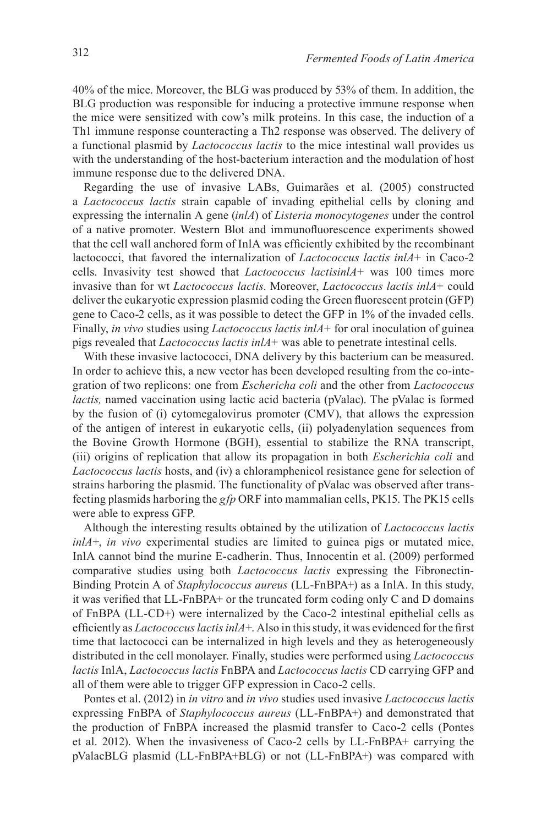40% of the mice. Moreover, the BLG was produced by 53% of them. In addition, the BLG production was responsible for inducing a protective immune response when the mice were sensitized with cow's milk proteins. In this case, the induction of a Th1 immune response counteracting a Th2 response was observed. The delivery of a functional plasmid by *Lactococcus lactis* to the mice intestinal wall provides us with the understanding of the host-bacterium interaction and the modulation of host immune response due to the delivered DNA.

Regarding the use of invasive LABs, Guimarães et al. (2005) constructed a *Lactococcus lactis* strain capable of invading epithelial cells by cloning and expressing the internalin A gene (*inlA*) of *Listeria monocytogenes* under the control of a native promoter. Western Blot and immunofluorescence experiments showed that the cell wall anchored form of InlA was efficiently exhibited by the recombinant lactococci, that favored the internalization of *Lactococcus lactis inlA+* in Caco-2 cells. Invasivity test showed that *Lactococcus lactisinlA+* was 100 times more invasive than for wt *Lactococcus lactis*. Moreover, *Lactococcus lactis inlA+* could deliver the eukaryotic expression plasmid coding the Green fluorescent protein (GFP) gene to Caco-2 cells, as it was possible to detect the GFP in 1% of the invaded cells. Finally, *in vivo* studies using *Lactococcus lactis inlA+* for oral inoculation of guinea pigs revealed that *Lactococcus lactis inlA+* was able to penetrate intestinal cells.

With these invasive lactococci, DNA delivery by this bacterium can be measured. In order to achieve this, a new vector has been developed resulting from the co-integration of two replicons: one from *Eschericha coli* and the other from *Lactococcus lactis,* named vaccination using lactic acid bacteria (pValac). The pValac is formed by the fusion of (i) cytomegalovirus promoter (CMV), that allows the expression of the antigen of interest in eukaryotic cells, (ii) polyadenylation sequences from the Bovine Growth Hormone (BGH), essential to stabilize the RNA transcript, (iii) origins of replication that allow its propagation in both *Escherichia coli* and *Lactococcus lactis* hosts, and (iv) a chloramphenicol resistance gene for selection of strains harboring the plasmid. The functionality of pValac was observed after transfecting plasmids harboring the *gfp* ORF into mammalian cells, PK15. The PK15 cells were able to express GFP.

Although the interesting results obtained by the utilization of *Lactococcus lactis inlA+*, *in vivo* experimental studies are limited to guinea pigs or mutated mice, InlA cannot bind the murine E-cadherin. Thus, Innocentin et al. (2009) performed comparative studies using both *Lactococcus lactis* expressing the Fibronectin-Binding Protein A of *Staphylococcus aureus* (LL-FnBPA+) as a InlA. In this study, it was verified that LL-FnBPA+ or the truncated form coding only C and D domains of FnBPA (LL-CD+) were internalized by the Caco-2 intestinal epithelial cells as efficiently as *Lactococcus lactis inlA+*. Also in this study, it was evidenced for the first time that lactococci can be internalized in high levels and they as heterogeneously distributed in the cell monolayer. Finally, studies were performed using *Lactococcus lactis* InlA, *Lactococcus lactis* FnBPA and *Lactococcus lactis* CD carrying GFP and all of them were able to trigger GFP expression in Caco-2 cells.

Pontes et al. (2012) in *in vitro* and *in vivo* studies used invasive *Lactococcus lactis* expressing FnBPA of *Staphylococcus aureus* (LL-FnBPA+) and demonstrated that the production of FnBPA increased the plasmid transfer to Caco-2 cells (Pontes et al. 2012). When the invasiveness of Caco-2 cells by LL-FnBPA+ carrying the pValacBLG plasmid (LL-FnBPA+BLG) or not (LL-FnBPA+) was compared with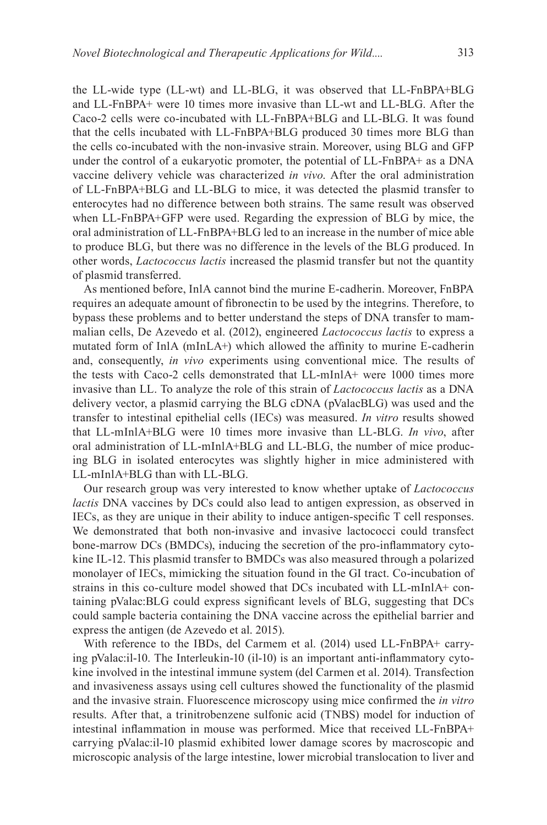the LL-wide type (LL-wt) and LL-BLG, it was observed that LL-FnBPA+BLG and LL-FnBPA+ were 10 times more invasive than LL-wt and LL-BLG. After the Caco-2 cells were co-incubated with LL-FnBPA+BLG and LL-BLG. It was found that the cells incubated with LL-FnBPA+BLG produced 30 times more BLG than the cells co-incubated with the non-invasive strain. Moreover, using BLG and GFP under the control of a eukaryotic promoter, the potential of LL-FnBPA+ as a DNA vaccine delivery vehicle was characterized *in vivo*. After the oral administration of LL-FnBPA+BLG and LL-BLG to mice, it was detected the plasmid transfer to enterocytes had no difference between both strains. The same result was observed when LL-FnBPA+GFP were used. Regarding the expression of BLG by mice, the oral administration of LL-FnBPA+BLG led to an increase in the number of mice able to produce BLG, but there was no difference in the levels of the BLG produced. In other words, *Lactococcus lactis* increased the plasmid transfer but not the quantity of plasmid transferred.

As mentioned before, InlA cannot bind the murine E-cadherin. Moreover, FnBPA requires an adequate amount of fibronectin to be used by the integrins. Therefore, to bypass these problems and to better understand the steps of DNA transfer to mammalian cells, De Azevedo et al. (2012), engineered *Lactococcus lactis* to express a mutated form of InlA (mInLA+) which allowed the affinity to murine E-cadherin and, consequently, *in vivo* experiments using conventional mice. The results of the tests with Caco-2 cells demonstrated that LL-mInlA+ were 1000 times more invasive than LL. To analyze the role of this strain of *Lactococcus lactis* as a DNA delivery vector, a plasmid carrying the BLG cDNA (pValacBLG) was used and the transfer to intestinal epithelial cells (IECs) was measured. *In vitro* results showed that LL-mInlA+BLG were 10 times more invasive than LL-BLG. *In vivo*, after oral administration of LL-mInlA+BLG and LL-BLG, the number of mice producing BLG in isolated enterocytes was slightly higher in mice administered with LL-mInlA+BLG than with LL-BLG.

Our research group was very interested to know whether uptake of *Lactococcus lactis* DNA vaccines by DCs could also lead to antigen expression, as observed in IECs, as they are unique in their ability to induce antigen-specific T cell responses. We demonstrated that both non-invasive and invasive lactococci could transfect bone-marrow DCs (BMDCs), inducing the secretion of the pro-inflammatory cytokine IL-12. This plasmid transfer to BMDCs was also measured through a polarized monolayer of IECs, mimicking the situation found in the GI tract. Co-incubation of strains in this co-culture model showed that DCs incubated with LL-mInlA+ containing pValac:BLG could express significant levels of BLG, suggesting that DCs could sample bacteria containing the DNA vaccine across the epithelial barrier and express the antigen (de Azevedo et al. 2015).

With reference to the IBDs, del Carmem et al. (2014) used LL-FnBPA+ carrying pValac:il-10. The Interleukin-10 (il-10) is an important anti-inflammatory cytokine involved in the intestinal immune system (del Carmen et al. 2014). Transfection and invasiveness assays using cell cultures showed the functionality of the plasmid and the invasive strain. Fluorescence microscopy using mice confirmed the *in vitro*  results. After that, a trinitrobenzene sulfonic acid (TNBS) model for induction of intestinal inflammation in mouse was performed. Mice that received LL-FnBPA+ carrying pValac:il-10 plasmid exhibited lower damage scores by macroscopic and microscopic analysis of the large intestine, lower microbial translocation to liver and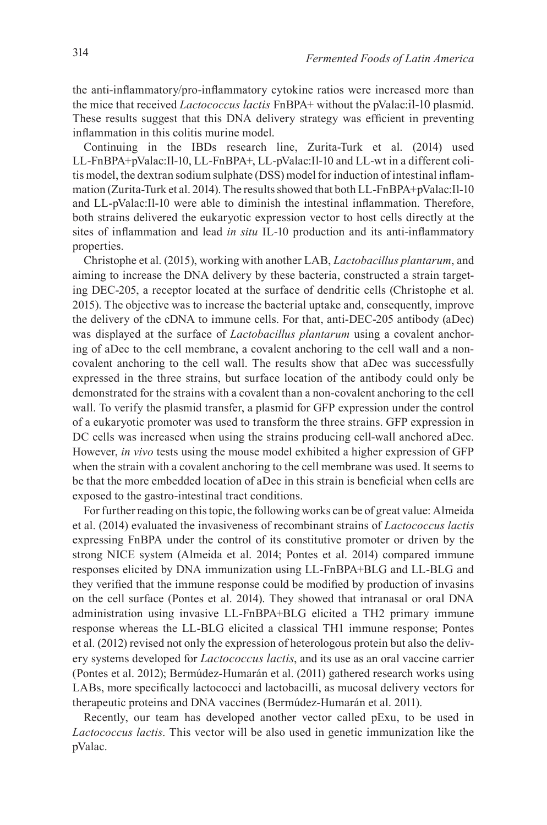the anti-inflammatory/pro-inflammatory cytokine ratios were increased more than the mice that received *Lactococcus lactis* FnBPA+ without the pValac:il-10 plasmid. These results suggest that this DNA delivery strategy was efficient in preventing inflammation in this colitis murine model.

Continuing in the IBDs research line, Zurita-Turk et al. (2014) used LL-FnBPA+pValac:Il-10, LL-FnBPA+, LL-pValac:Il-10 and LL-wt in a different colitis model, the dextran sodium sulphate (DSS) model for induction of intestinal inflammation (Zurita-Turk et al. 2014). The results showed that both LL-FnBPA+pValac:Il-10 and LL-pValac:Il-10 were able to diminish the intestinal inflammation. Therefore, both strains delivered the eukaryotic expression vector to host cells directly at the sites of inflammation and lead *in situ* IL-10 production and its anti-inflammatory properties.

Christophe et al. (2015), working with another LAB, *Lactobacillus plantarum*, and aiming to increase the DNA delivery by these bacteria, constructed a strain targeting DEC-205, a receptor located at the surface of dendritic cells (Christophe et al. 2015). The objective was to increase the bacterial uptake and, consequently, improve the delivery of the cDNA to immune cells. For that, anti-DEC-205 antibody (aDec) was displayed at the surface of *Lactobacillus plantarum* using a covalent anchoring of aDec to the cell membrane, a covalent anchoring to the cell wall and a noncovalent anchoring to the cell wall. The results show that aDec was successfully expressed in the three strains, but surface location of the antibody could only be demonstrated for the strains with a covalent than a non-covalent anchoring to the cell wall. To verify the plasmid transfer, a plasmid for GFP expression under the control of a eukaryotic promoter was used to transform the three strains. GFP expression in DC cells was increased when using the strains producing cell-wall anchored aDec. However, *in vivo* tests using the mouse model exhibited a higher expression of GFP when the strain with a covalent anchoring to the cell membrane was used. It seems to be that the more embedded location of aDec in this strain is beneficial when cells are exposed to the gastro-intestinal tract conditions.

For further reading on this topic, the following works can be of great value: Almeida et al. (2014) evaluated the invasiveness of recombinant strains of *Lactococcus lactis* expressing FnBPA under the control of its constitutive promoter or driven by the strong NICE system (Almeida et al. 2014; Pontes et al. 2014) compared immune responses elicited by DNA immunization using LL-FnBPA+BLG and LL-BLG and they verified that the immune response could be modified by production of invasins on the cell surface (Pontes et al. 2014). They showed that intranasal or oral DNA administration using invasive LL-FnBPA+BLG elicited a TH2 primary immune response whereas the LL-BLG elicited a classical TH1 immune response; Pontes et al. (2012) revised not only the expression of heterologous protein but also the delivery systems developed for *Lactococcus lactis*, and its use as an oral vaccine carrier (Pontes et al. 2012); Bermúdez-Humarán et al. (2011) gathered research works using LABs, more specifically lactococci and lactobacilli, as mucosal delivery vectors for therapeutic proteins and DNA vaccines (Bermúdez-Humarán et al. 2011).

Recently, our team has developed another vector called pExu, to be used in *Lactococcus lactis*. This vector will be also used in genetic immunization like the pValac.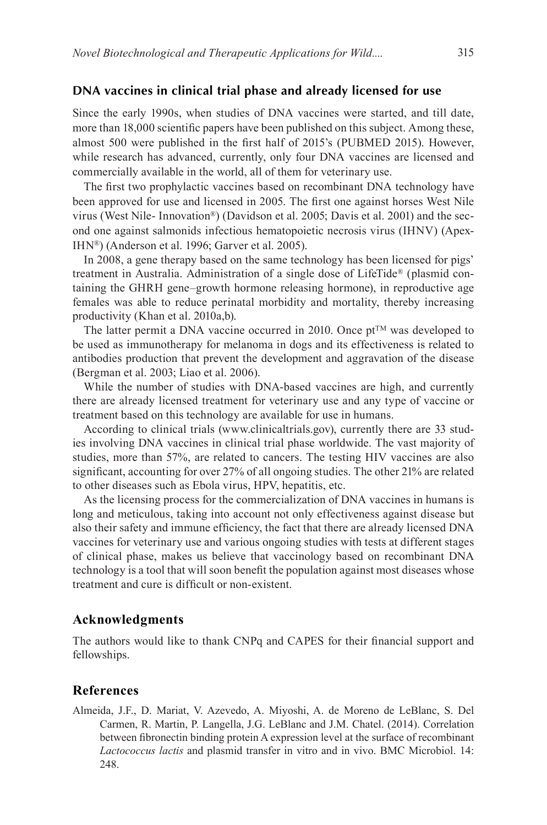#### **DNA vaccines in clinical trial phase and already licensed for use**

Since the early 1990s, when studies of DNA vaccines were started, and till date, more than 18,000 scientific papers have been published on this subject. Among these, almost 500 were published in the first half of 2015's (PUBMED 2015). However, while research has advanced, currently, only four DNA vaccines are licensed and commercially available in the world, all of them for veterinary use.

The first two prophylactic vaccines based on recombinant DNA technology have been approved for use and licensed in 2005. The first one against horses West Nile virus (West Nile- Innovation®) (Davidson et al. 2005; Davis et al. 2001) and the second one against salmonids infectious hematopoietic necrosis virus (IHNV) (Apex-IHN®) (Anderson et al. 1996; Garver et al. 2005).

In 2008, a gene therapy based on the same technology has been licensed for pigs' treatment in Australia. Administration of a single dose of LifeTide® (plasmid containing the GHRH gene–growth hormone releasing hormone), in reproductive age females was able to reduce perinatal morbidity and mortality, thereby increasing productivity (Khan et al. 2010a,b).

The latter permit a DNA vaccine occurred in 2010. Once  $pt^{TM}$  was developed to be used as immunotherapy for melanoma in dogs and its effectiveness is related to antibodies production that prevent the development and aggravation of the disease (Bergman et al. 2003; Liao et al. 2006).

While the number of studies with DNA-based vaccines are high, and currently there are already licensed treatment for veterinary use and any type of vaccine or treatment based on this technology are available for use in humans.

According to clinical trials [\(www.clinicaltrials.gov](http://www.clinicaltrials.gov)), currently there are 33 studies involving DNA vaccines in clinical trial phase worldwide. The vast majority of studies, more than 57%, are related to cancers. The testing HIV vaccines are also significant, accounting for over 27% of all ongoing studies. The other 21% are related to other diseases such as Ebola virus, HPV, hepatitis, etc.

As the licensing process for the commercialization of DNA vaccines in humans is long and meticulous, taking into account not only effectiveness against disease but also their safety and immune efficiency, the fact that there are already licensed DNA vaccines for veterinary use and various ongoing studies with tests at different stages of clinical phase, makes us believe that vaccinology based on recombinant DNA technology is a tool that will soon benefit the population against most diseases whose treatment and cure is difficult or non-existent.

#### **Acknowledgments**

The authors would like to thank CNPq and CAPES for their financial support and fellowships.

#### **References**

Almeida, J.F., D. Mariat, V. Azevedo, A. Miyoshi, A. de Moreno de LeBlanc, S. Del Carmen, R. Martin, P. Langella, J.G. LeBlanc and J.M. Chatel. (2014). Correlation between fibronectin binding protein A expression level at the surface of recombinant *Lactococcus lactis* and plasmid transfer in vitro and in vivo. BMC Microbiol. 14: 248.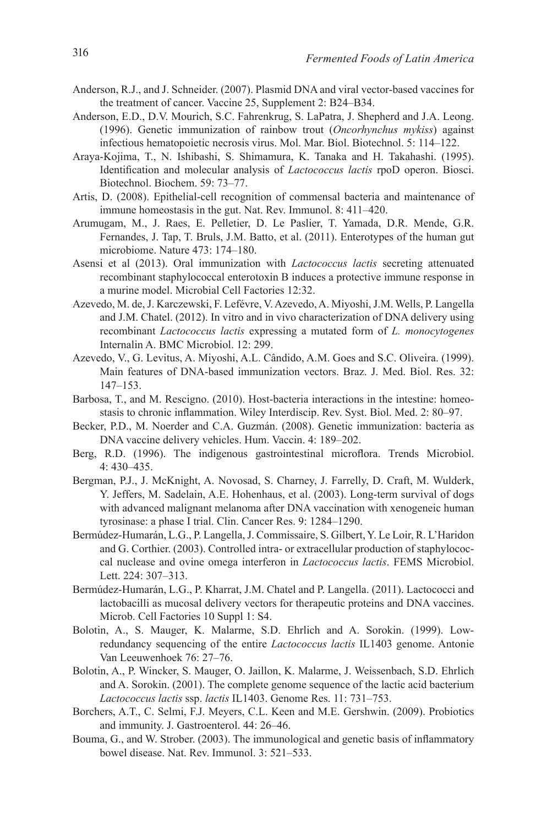- Anderson, R.J., and J. Schneider. (2007). Plasmid DNA and viral vector-based vaccines for the treatment of cancer. Vaccine 25, Supplement 2: B24–B34.
- Anderson, E.D., D.V. Mourich, S.C. Fahrenkrug, S. LaPatra, J. Shepherd and J.A. Leong. (1996). Genetic immunization of rainbow trout (*Oncorhynchus mykiss*) against infectious hematopoietic necrosis virus. Mol. Mar. Biol. Biotechnol. 5: 114–122.
- Araya-Kojima, T., N. Ishibashi, S. Shimamura, K. Tanaka and H. Takahashi. (1995). Identification and molecular analysis of *Lactococcus lactis* rpoD operon. Biosci. Biotechnol. Biochem. 59: 73–77.
- Artis, D. (2008). Epithelial-cell recognition of commensal bacteria and maintenance of immune homeostasis in the gut. Nat. Rev. Immunol. 8: 411–420.
- Arumugam, M., J. Raes, E. Pelletier, D. Le Paslier, T. Yamada, D.R. Mende, G.R. Fernandes, J. Tap, T. Bruls, J.M. Batto, et al. (2011). Enterotypes of the human gut microbiome. Nature 473: 174–180.
- Asensi et al (2013). Oral immunization with *Lactococcus lactis* secreting attenuated recombinant staphylococcal enterotoxin B induces a protective immune response in a murine model. Microbial Cell Factories 12:32.
- Azevedo, M. de, J. Karczewski, F. Lefévre, V. Azevedo, A. Miyoshi, J.M. Wells, P. Langella and J.M. Chatel. (2012). In vitro and in vivo characterization of DNA delivery using recombinant *Lactococcus lactis* expressing a mutated form of *L. monocytogenes*  Internalin A. BMC Microbiol. 12: 299.
- Azevedo, V., G. Levitus, A. Miyoshi, A.L. Cândido, A.M. Goes and S.C. Oliveira. (1999). Main features of DNA-based immunization vectors. Braz. J. Med. Biol. Res. 32: 147–153.
- Barbosa, T., and M. Rescigno. (2010). Host-bacteria interactions in the intestine: homeostasis to chronic inflammation. Wiley Interdiscip. Rev. Syst. Biol. Med. 2: 80–97.
- Becker, P.D., M. Noerder and C.A. Guzmán. (2008). Genetic immunization: bacteria as DNA vaccine delivery vehicles. Hum. Vaccin. 4: 189–202.
- Berg, R.D. (1996). The indigenous gastrointestinal microflora. Trends Microbiol. 4: 430–435.
- Bergman, P.J., J. McKnight, A. Novosad, S. Charney, J. Farrelly, D. Craft, M. Wulderk, Y. Jeffers, M. Sadelain, A.E. Hohenhaus, et al. (2003). Long-term survival of dogs with advanced malignant melanoma after DNA vaccination with xenogeneic human tyrosinase: a phase I trial. Clin. Cancer Res. 9: 1284–1290.
- Bermúdez-Humarán, L.G., P. Langella, J. Commissaire, S. Gilbert, Y. Le Loir, R. L'Haridon and G. Corthier. (2003). Controlled intra- or extracellular production of staphylococcal nuclease and ovine omega interferon in *Lactococcus lactis*. FEMS Microbiol. Lett. 224: 307–313.
- Bermúdez-Humarán, L.G., P. Kharrat, J.M. Chatel and P. Langella. (2011). Lactococci and lactobacilli as mucosal delivery vectors for therapeutic proteins and DNA vaccines. Microb. Cell Factories 10 Suppl 1: S4.
- Bolotin, A., S. Mauger, K. Malarme, S.D. Ehrlich and A. Sorokin. (1999). Lowredundancy sequencing of the entire *Lactococcus lactis* IL1403 genome. Antonie Van Leeuwenhoek 76: 27–76.
- Bolotin, A., P. Wincker, S. Mauger, O. Jaillon, K. Malarme, J. Weissenbach, S.D. Ehrlich and A. Sorokin. (2001). The complete genome sequence of the lactic acid bacterium *Lactococcus lactis* ssp. *lactis* IL1403. Genome Res. 11: 731–753.
- Borchers, A.T., C. Selmi, F.J. Meyers, C.L. Keen and M.E. Gershwin. (2009). Probiotics and immunity. J. Gastroenterol. 44: 26–46.
- Bouma, G., and W. Strober. (2003). The immunological and genetic basis of inflammatory bowel disease. Nat. Rev. Immunol. 3: 521–533.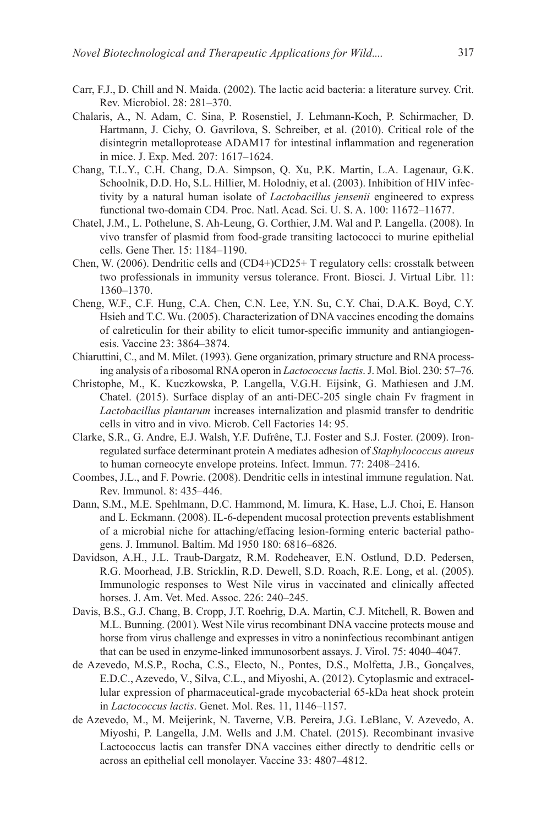- Carr, F.J., D. Chill and N. Maida. (2002). The lactic acid bacteria: a literature survey. Crit. Rev. Microbiol. 28: 281–370.
- Chalaris, A., N. Adam, C. Sina, P. Rosenstiel, J. Lehmann-Koch, P. Schirmacher, D. Hartmann, J. Cichy, O. Gavrilova, S. Schreiber, et al. (2010). Critical role of the disintegrin metalloprotease ADAM17 for intestinal inflammation and regeneration in mice. J. Exp. Med. 207: 1617–1624.
- Chang, T.L.Y., C.H. Chang, D.A. Simpson, Q. Xu, P.K. Martin, L.A. Lagenaur, G.K. Schoolnik, D.D. Ho, S.L. Hillier, M. Holodniy, et al. (2003). Inhibition of HIV infectivity by a natural human isolate of *Lactobacillus jensenii* engineered to express functional two-domain CD4. Proc. Natl. Acad. Sci. U. S. A. 100: 11672–11677.
- Chatel, J.M., L. Pothelune, S. Ah-Leung, G. Corthier, J.M. Wal and P. Langella. (2008). In vivo transfer of plasmid from food-grade transiting lactococci to murine epithelial cells. Gene Ther. 15: 1184–1190.
- Chen, W. (2006). Dendritic cells and (CD4+)CD25+ T regulatory cells: crosstalk between two professionals in immunity versus tolerance. Front. Biosci. J. Virtual Libr. 11: 1360–1370.
- Cheng, W.F., C.F. Hung, C.A. Chen, C.N. Lee, Y.N. Su, C.Y. Chai, D.A.K. Boyd, C.Y. Hsieh and T.C. Wu. (2005). Characterization of DNA vaccines encoding the domains of calreticulin for their ability to elicit tumor-specific immunity and antiangiogenesis. Vaccine 23: 3864–3874.
- Chiaruttini, C., and M. Milet. (1993). Gene organization, primary structure and RNA processing analysis of a ribosomal RNA operon in *Lactococcus lactis*. J. Mol. Biol. 230: 57–76.
- Christophe, M., K. Kuczkowska, P. Langella, V.G.H. Eijsink, G. Mathiesen and J.M. Chatel. (2015). Surface display of an anti-DEC-205 single chain Fv fragment in *Lactobacillus plantarum* increases internalization and plasmid transfer to dendritic cells in vitro and in vivo. Microb. Cell Factories 14: 95.
- Clarke, S.R., G. Andre, E.J. Walsh, Y.F. Dufrêne, T.J. Foster and S.J. Foster. (2009). Ironregulated surface determinant protein A mediates adhesion of *Staphylococcus aureus*  to human corneocyte envelope proteins. Infect. Immun. 77: 2408–2416.
- Coombes, J.L., and F. Powrie. (2008). Dendritic cells in intestinal immune regulation. Nat. Rev. Immunol. 8: 435–446.
- Dann, S.M., M.E. Spehlmann, D.C. Hammond, M. Iimura, K. Hase, L.J. Choi, E. Hanson and L. Eckmann. (2008). IL-6-dependent mucosal protection prevents establishment of a microbial niche for attaching/effacing lesion-forming enteric bacterial pathogens. J. Immunol. Baltim. Md 1950 180: 6816–6826.
- Davidson, A.H., J.L. Traub-Dargatz, R.M. Rodeheaver, E.N. Ostlund, D.D. Pedersen, R.G. Moorhead, J.B. Stricklin, R.D. Dewell, S.D. Roach, R.E. Long, et al. (2005). Immunologic responses to West Nile virus in vaccinated and clinically affected horses. J. Am. Vet. Med. Assoc. 226: 240–245.
- Davis, B.S., G.J. Chang, B. Cropp, J.T. Roehrig, D.A. Martin, C.J. Mitchell, R. Bowen and M.L. Bunning. (2001). West Nile virus recombinant DNA vaccine protects mouse and horse from virus challenge and expresses in vitro a noninfectious recombinant antigen that can be used in enzyme-linked immunosorbent assays. J. Virol. 75: 4040–4047.
- de Azevedo, M.S.P., Rocha, C.S., Electo, N., Pontes, D.S., Molfetta, J.B., Gonçalves, E.D.C., Azevedo, V., Silva, C.L., and Miyoshi, A. (2012). Cytoplasmic and extracellular expression of pharmaceutical-grade mycobacterial 65-kDa heat shock protein in *Lactococcus lactis*. Genet. Mol. Res. 11, 1146–1157.
- de Azevedo, M., M. Meijerink, N. Taverne, V.B. Pereira, J.G. LeBlanc, V. Azevedo, A. Miyoshi, P. Langella, J.M. Wells and J.M. Chatel. (2015). Recombinant invasive Lactococcus lactis can transfer DNA vaccines either directly to dendritic cells or across an epithelial cell monolayer. Vaccine 33: 4807–4812.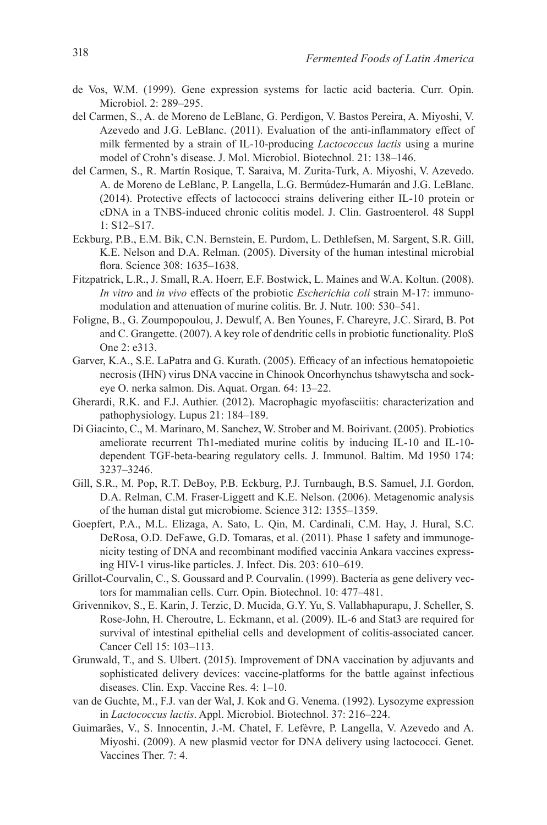- de Vos, W.M. (1999). Gene expression systems for lactic acid bacteria. Curr. Opin. Microbiol. 2: 289–295.
- del Carmen, S., A. de Moreno de LeBlanc, G. Perdigon, V. Bastos Pereira, A. Miyoshi, V. Azevedo and J.G. LeBlanc. (2011). Evaluation of the anti-inflammatory effect of milk fermented by a strain of IL-10-producing *Lactococcus lactis* using a murine model of Crohn's disease. J. Mol. Microbiol. Biotechnol. 21: 138–146.
- del Carmen, S., R. Martín Rosique, T. Saraiva, M. Zurita-Turk, A. Miyoshi, V. Azevedo. A. de Moreno de LeBlanc, P. Langella, L.G. Bermúdez-Humarán and J.G. LeBlanc. (2014). Protective effects of lactococci strains delivering either IL-10 protein or cDNA in a TNBS-induced chronic colitis model. J. Clin. Gastroenterol. 48 Suppl 1: S12–S17.
- Eckburg, P.B., E.M. Bik, C.N. Bernstein, E. Purdom, L. Dethlefsen, M. Sargent, S.R. Gill, K.E. Nelson and D.A. Relman. (2005). Diversity of the human intestinal microbial flora. Science 308: 1635–1638.
- Fitzpatrick, L.R., J. Small, R.A. Hoerr, E.F. Bostwick, L. Maines and W.A. Koltun. (2008). *In vitro* and *in vivo* effects of the probiotic *Escherichia coli* strain M-17: immunomodulation and attenuation of murine colitis. Br. J. Nutr. 100: 530–541.
- Foligne, B., G. Zoumpopoulou, J. Dewulf, A. Ben Younes, F. Chareyre, J.C. Sirard, B. Pot and C. Grangette. (2007). A key role of dendritic cells in probiotic functionality. PloS One 2: e313.
- Garver, K.A., S.E. LaPatra and G. Kurath. (2005). Efficacy of an infectious hematopoietic necrosis (IHN) virus DNA vaccine in Chinook Oncorhynchus tshawytscha and sockeye O. nerka salmon. Dis. Aquat. Organ. 64: 13–22.
- Gherardi, R.K. and F.J. Authier. (2012). Macrophagic myofasciitis: characterization and pathophysiology. Lupus 21: 184–189.
- Di Giacinto, C., M. Marinaro, M. Sanchez, W. Strober and M. Boirivant. (2005). Probiotics ameliorate recurrent Th1-mediated murine colitis by inducing IL-10 and IL-10 dependent TGF-beta-bearing regulatory cells. J. Immunol. Baltim. Md 1950 174: 3237–3246.
- Gill, S.R., M. Pop, R.T. DeBoy, P.B. Eckburg, P.J. Turnbaugh, B.S. Samuel, J.I. Gordon, D.A. Relman, C.M. Fraser-Liggett and K.E. Nelson. (2006). Metagenomic analysis of the human distal gut microbiome. Science 312: 1355–1359.
- Goepfert, P.A., M.L. Elizaga, A. Sato, L. Qin, M. Cardinali, C.M. Hay, J. Hural, S.C. DeRosa, O.D. DeFawe, G.D. Tomaras, et al. (2011). Phase 1 safety and immunogenicity testing of DNA and recombinant modified vaccinia Ankara vaccines expressing HIV-1 virus-like particles. J. Infect. Dis. 203: 610–619.
- Grillot-Courvalin, C., S. Goussard and P. Courvalin. (1999). Bacteria as gene delivery vectors for mammalian cells. Curr. Opin. Biotechnol. 10: 477–481.
- Grivennikov, S., E. Karin, J. Terzic, D. Mucida, G.Y. Yu, S. Vallabhapurapu, J. Scheller, S. Rose-John, H. Cheroutre, L. Eckmann, et al. (2009). IL-6 and Stat3 are required for survival of intestinal epithelial cells and development of colitis-associated cancer. Cancer Cell 15: 103–113.
- Grunwald, T., and S. Ulbert. (2015). Improvement of DNA vaccination by adjuvants and sophisticated delivery devices: vaccine-platforms for the battle against infectious diseases. Clin. Exp. Vaccine Res. 4: 1–10.
- van de Guchte, M., F.J. van der Wal, J. Kok and G. Venema. (1992). Lysozyme expression in *Lactococcus lactis*. Appl. Microbiol. Biotechnol. 37: 216–224.
- Guimarães, V., S. Innocentin, J.-M. Chatel, F. Lefèvre, P. Langella, V. Azevedo and A. Miyoshi. (2009). A new plasmid vector for DNA delivery using lactococci. Genet. Vaccines Ther. 7: 4.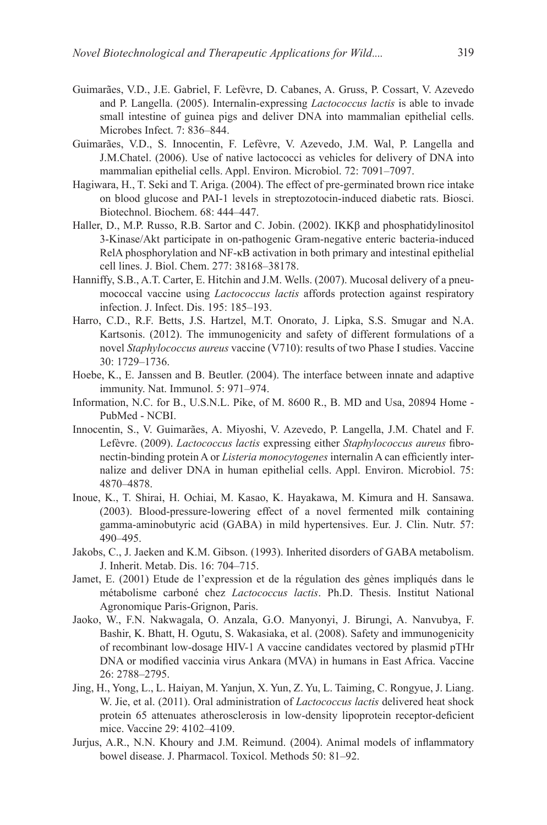- Guimarães, V.D., J.E. Gabriel, F. Lefèvre, D. Cabanes, A. Gruss, P. Cossart, V. Azevedo and P. Langella. (2005). Internalin-expressing *Lactococcus lactis* is able to invade small intestine of guinea pigs and deliver DNA into mammalian epithelial cells. Microbes Infect. 7: 836–844.
- Guimarães, V.D., S. Innocentin, F. Lefèvre, V. Azevedo, J.M. Wal, P. Langella and J.M.Chatel. (2006). Use of native lactococci as vehicles for delivery of DNA into mammalian epithelial cells. Appl. Environ. Microbiol. 72: 7091–7097.
- Hagiwara, H., T. Seki and T. Ariga. (2004). The effect of pre-germinated brown rice intake on blood glucose and PAI-1 levels in streptozotocin-induced diabetic rats. Biosci. Biotechnol. Biochem. 68: 444–447.
- Haller, D., M.P. Russo, R.B. Sartor and C. Jobin. (2002). IKKβ and phosphatidylinositol 3-Kinase/Akt participate in on-pathogenic Gram-negative enteric bacteria-induced RelA phosphorylation and NF-κB activation in both primary and intestinal epithelial cell lines. J. Biol. Chem. 277: 38168–38178.
- Hanniffy, S.B., A.T. Carter, E. Hitchin and J.M. Wells. (2007). Mucosal delivery of a pneumococcal vaccine using *Lactococcus lactis* affords protection against respiratory infection. J. Infect. Dis. 195: 185–193.
- Harro, C.D., R.F. Betts, J.S. Hartzel, M.T. Onorato, J. Lipka, S.S. Smugar and N.A. Kartsonis. (2012). The immunogenicity and safety of different formulations of a novel *Staphylococcus aureus* vaccine (V710): results of two Phase I studies. Vaccine 30: 1729–1736.
- Hoebe, K., E. Janssen and B. Beutler. (2004). The interface between innate and adaptive immunity. Nat. Immunol. 5: 971–974.
- Information, N.C. for B., U.S.N.L. Pike, of M. 8600 R., B. MD and Usa, 20894 Home PubMed - NCBI.
- Innocentin, S., V. Guimarães, A. Miyoshi, V. Azevedo, P. Langella, J.M. Chatel and F. Lefèvre. (2009). *Lactococcus lactis* expressing either *Staphylococcus aureus* fibronectin-binding protein A or *Listeria monocytogenes* internalin A can efficiently internalize and deliver DNA in human epithelial cells. Appl. Environ. Microbiol. 75: 4870–4878.
- Inoue, K., T. Shirai, H. Ochiai, M. Kasao, K. Hayakawa, M. Kimura and H. Sansawa. (2003). Blood-pressure-lowering effect of a novel fermented milk containing gamma-aminobutyric acid (GABA) in mild hypertensives. Eur. J. Clin. Nutr. 57: 490–495.
- Jakobs, C., J. Jaeken and K.M. Gibson. (1993). Inherited disorders of GABA metabolism. J. Inherit. Metab. Dis. 16: 704–715.
- Jamet, E. (2001) Etude de l'expression et de la régulation des gènes impliqués dans le métabolisme carboné chez *Lactococcus lactis*. Ph.D. Thesis. Institut National Agronomique Paris-Grignon, Paris.
- Jaoko, W., F.N. Nakwagala, O. Anzala, G.O. Manyonyi, J. Birungi, A. Nanvubya, F. Bashir, K. Bhatt, H. Ogutu, S. Wakasiaka, et al. (2008). Safety and immunogenicity of recombinant low-dosage HIV-1 A vaccine candidates vectored by plasmid pTHr DNA or modified vaccinia virus Ankara (MVA) in humans in East Africa. Vaccine 26: 2788–2795.
- Jing, H., Yong, L., L. Haiyan, M. Yanjun, X. Yun, Z. Yu, L. Taiming, C. Rongyue, J. Liang. W. Jie, et al. (2011). Oral administration of *Lactococcus lactis* delivered heat shock protein 65 attenuates atherosclerosis in low-density lipoprotein receptor-deficient mice. Vaccine 29: 4102–4109.
- Jurjus, A.R., N.N. Khoury and J.M. Reimund. (2004). Animal models of inflammatory bowel disease. J. Pharmacol. Toxicol. Methods 50: 81–92.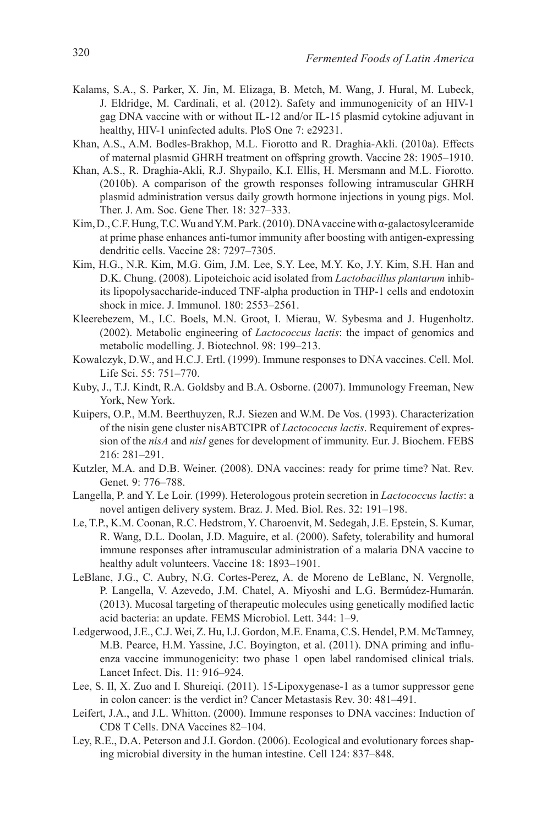- Kalams, S.A., S. Parker, X. Jin, M. Elizaga, B. Metch, M. Wang, J. Hural, M. Lubeck, J. Eldridge, M. Cardinali, et al. (2012). Safety and immunogenicity of an HIV-1 gag DNA vaccine with or without IL-12 and/or IL-15 plasmid cytokine adjuvant in healthy, HIV-1 uninfected adults. PloS One 7: e29231.
- Khan, A.S., A.M. Bodles-Brakhop, M.L. Fiorotto and R. Draghia-Akli. (2010a). Effects of maternal plasmid GHRH treatment on offspring growth. Vaccine 28: 1905–1910.
- Khan, A.S., R. Draghia-Akli, R.J. Shypailo, K.I. Ellis, H. Mersmann and M.L. Fiorotto. (2010b). A comparison of the growth responses following intramuscular GHRH plasmid administration versus daily growth hormone injections in young pigs. Mol. Ther. J. Am. Soc. Gene Ther. 18: 327–333.
- Kim, D., C.F. Hung, T.C. Wu and Y.M. Park. (2010). DNA vaccine with α-galactosylceramide at prime phase enhances anti-tumor immunity after boosting with antigen-expressing dendritic cells. Vaccine 28: 7297–7305.
- Kim, H.G., N.R. Kim, M.G. Gim, J.M. Lee, S.Y. Lee, M.Y. Ko, J.Y. Kim, S.H. Han and D.K. Chung. (2008). Lipoteichoic acid isolated from *Lactobacillus plantarum* inhibits lipopolysaccharide-induced TNF-alpha production in THP-1 cells and endotoxin shock in mice. J. Immunol. 180: 2553–2561.
- Kleerebezem, M., I.C. Boels, M.N. Groot, I. Mierau, W. Sybesma and J. Hugenholtz. (2002). Metabolic engineering of *Lactococcus lactis*: the impact of genomics and metabolic modelling. J. Biotechnol. 98: 199–213.
- Kowalczyk, D.W., and H.C.J. Ertl. (1999). Immune responses to DNA vaccines. Cell. Mol. Life Sci. 55: 751–770.
- Kuby, J., T.J. Kindt, R.A. Goldsby and B.A. Osborne. (2007). Immunology Freeman, New York, New York.
- Kuipers, O.P., M.M. Beerthuyzen, R.J. Siezen and W.M. De Vos. (1993). Characterization of the nisin gene cluster nisABTCIPR of *Lactococcus lactis*. Requirement of expression of the *nisA* and *nisI* genes for development of immunity. Eur. J. Biochem. FEBS 216: 281–291.
- Kutzler, M.A. and D.B. Weiner. (2008). DNA vaccines: ready for prime time? Nat. Rev. Genet. 9: 776–788.
- Langella, P. and Y. Le Loir. (1999). Heterologous protein secretion in *Lactococcus lactis*: a novel antigen delivery system. Braz. J. Med. Biol. Res. 32: 191–198.
- Le, T.P., K.M. Coonan, R.C. Hedstrom, Y. Charoenvit, M. Sedegah, J.E. Epstein, S. Kumar, R. Wang, D.L. Doolan, J.D. Maguire, et al. (2000). Safety, tolerability and humoral immune responses after intramuscular administration of a malaria DNA vaccine to healthy adult volunteers. Vaccine 18: 1893–1901.
- LeBlanc, J.G., C. Aubry, N.G. Cortes-Perez, A. de Moreno de LeBlanc, N. Vergnolle, P. Langella, V. Azevedo, J.M. Chatel, A. Miyoshi and L.G. Bermúdez-Humarán. (2013). Mucosal targeting of therapeutic molecules using genetically modified lactic acid bacteria: an update. FEMS Microbiol. Lett. 344: 1–9.
- Ledgerwood, J.E., C.J. Wei, Z. Hu, I.J. Gordon, M.E. Enama, C.S. Hendel, P.M. McTamney, M.B. Pearce, H.M. Yassine, J.C. Boyington, et al. (2011). DNA priming and influenza vaccine immunogenicity: two phase 1 open label randomised clinical trials. Lancet Infect. Dis. 11: 916–924.
- Lee, S. Il, X. Zuo and I. Shureiqi. (2011). 15-Lipoxygenase-1 as a tumor suppressor gene in colon cancer: is the verdict in? Cancer Metastasis Rev. 30: 481–491.
- Leifert, J.A., and J.L. Whitton. (2000). Immune responses to DNA vaccines: Induction of CD8 T Cells. DNA Vaccines 82–104.
- Ley, R.E., D.A. Peterson and J.I. Gordon. (2006). Ecological and evolutionary forces shaping microbial diversity in the human intestine. Cell 124: 837–848.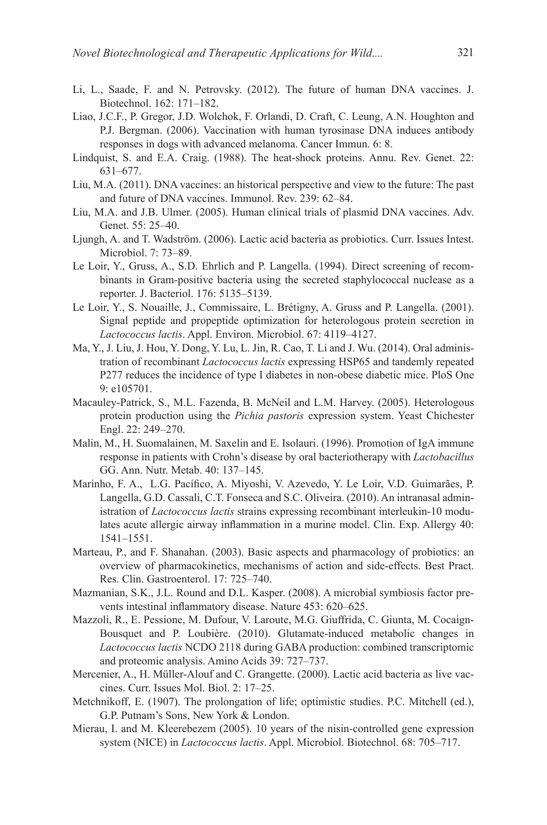- Li, L., Saade, F. and N. Petrovsky. (2012). The future of human DNA vaccines. J. Biotechnol. 162: 171–182.
- Liao, J.C.F., P. Gregor, J.D. Wolchok, F. Orlandi, D. Craft, C. Leung, A.N. Houghton and P.J. Bergman. (2006). Vaccination with human tyrosinase DNA induces antibody responses in dogs with advanced melanoma. Cancer Immun. 6: 8.
- Lindquist, S. and E.A. Craig. (1988). The heat-shock proteins. Annu. Rev. Genet. 22: 631–677.
- Liu, M.A. (2011). DNA vaccines: an historical perspective and view to the future: The past and future of DNA vaccines. Immunol. Rev. 239: 62–84.
- Liu, M.A. and J.B. Ulmer. (2005). Human clinical trials of plasmid DNA vaccines. Adv. Genet. 55: 25–40.
- Ljungh, A. and T. Wadström. (2006). Lactic acid bacteria as probiotics. Curr. Issues Intest. Microbiol. 7: 73–89.
- Le Loir, Y., Gruss, A., S.D. Ehrlich and P. Langella. (1994). Direct screening of recombinants in Gram-positive bacteria using the secreted staphylococcal nuclease as a reporter. J. Bacteriol. 176: 5135–5139.
- Le Loir, Y., S. Nouaille, J., Commissaire, L. Brétigny, A. Gruss and P. Langella. (2001). Signal peptide and propeptide optimization for heterologous protein secretion in *Lactococcus lactis*. Appl. Environ. Microbiol. 67: 4119–4127.
- Ma, Y., J. Liu, J. Hou, Y. Dong, Y. Lu, L. Jin, R. Cao, T. Li and J. Wu. (2014). Oral administration of recombinant *Lactococcus lactis* expressing HSP65 and tandemly repeated P277 reduces the incidence of type I diabetes in non-obese diabetic mice. PloS One 9: e105701.
- Macauley-Patrick, S., M.L. Fazenda, B. McNeil and L.M. Harvey. (2005). Heterologous protein production using the *Pichia pastoris* expression system. Yeast Chichester Engl. 22: 249–270.
- Malin, M., H. Suomalainen, M. Saxelin and E. Isolauri. (1996). Promotion of IgA immune response in patients with Crohn's disease by oral bacteriotherapy with *Lactobacillus*  GG. Ann. Nutr. Metab. 40: 137–145.
- Marinho, F. A., L.G. Pacífico, A. Miyoshi, V. Azevedo, Y. Le Loir, V.D. Guimarães, P. Langella, G.D. Cassali, C.T. Fonseca and S.C. Oliveira. (2010). An intranasal administration of *Lactococcus lactis* strains expressing recombinant interleukin-10 modulates acute allergic airway inflammation in a murine model. Clin. Exp. Allergy 40: 1541–1551.
- Marteau, P., and F. Shanahan. (2003). Basic aspects and pharmacology of probiotics: an overview of pharmacokinetics, mechanisms of action and side-effects. Best Pract. Res. Clin. Gastroenterol. 17: 725–740.
- Mazmanian, S.K., J.L. Round and D.L. Kasper. (2008). A microbial symbiosis factor prevents intestinal inflammatory disease. Nature 453: 620–625.
- Mazzoli, R., E. Pessione, M. Dufour, V. Laroute, M.G. Giuffrida, C. Giunta, M. Cocaign-Bousquet and P. Loubière. (2010). Glutamate-induced metabolic changes in *Lactococcus lactis* NCDO 2118 during GABA production: combined transcriptomic and proteomic analysis. Amino Acids 39: 727–737.
- Mercenier, A., H. Müller-Alouf and C. Grangette. (2000). Lactic acid bacteria as live vaccines. Curr. Issues Mol. Biol. 2: 17–25.
- Metchnikoff, E. (1907). The prolongation of life; optimistic studies. P.C. Mitchell (ed.), G.P. Putnam's Sons, New York & London.
- Mierau, I. and M. Kleerebezem (2005). 10 years of the nisin-controlled gene expression system (NICE) in *Lactococcus lactis*. Appl. Microbiol. Biotechnol. 68: 705–717.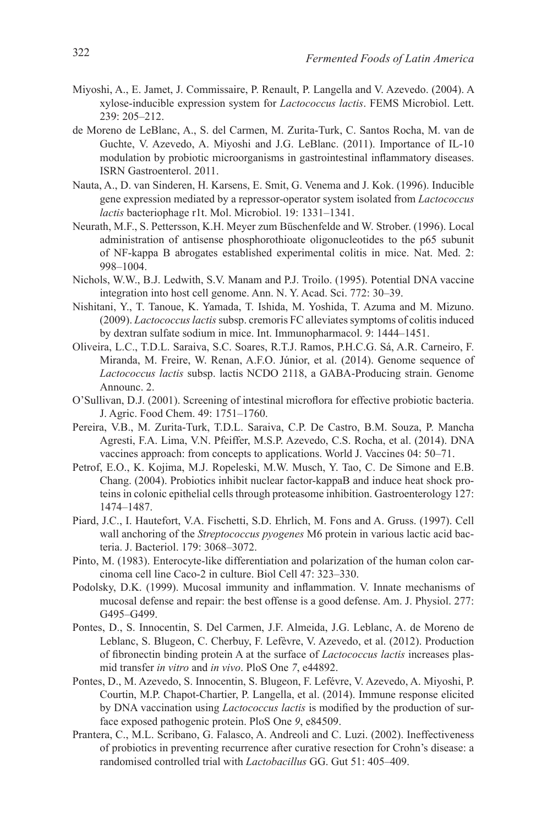- Miyoshi, A., E. Jamet, J. Commissaire, P. Renault, P. Langella and V. Azevedo. (2004). A xylose-inducible expression system for *Lactococcus lactis*. FEMS Microbiol. Lett. 239: 205–212.
- de Moreno de LeBlanc, A., S. del Carmen, M. Zurita-Turk, C. Santos Rocha, M. van de Guchte, V. Azevedo, A. Miyoshi and J.G. LeBlanc. (2011). Importance of IL-10 modulation by probiotic microorganisms in gastrointestinal inflammatory diseases. ISRN Gastroenterol. 2011.
- Nauta, A., D. van Sinderen, H. Karsens, E. Smit, G. Venema and J. Kok. (1996). Inducible gene expression mediated by a repressor-operator system isolated from *Lactococcus lactis* bacteriophage r1t. Mol. Microbiol. 19: 1331–1341.
- Neurath, M.F., S. Pettersson, K.H. Meyer zum Büschenfelde and W. Strober. (1996). Local administration of antisense phosphorothioate oligonucleotides to the p65 subunit of NF-kappa B abrogates established experimental colitis in mice. Nat. Med. 2: 998–1004.
- Nichols, W.W., B.J. Ledwith, S.V. Manam and P.J. Troilo. (1995). Potential DNA vaccine integration into host cell genome. Ann. N. Y. Acad. Sci. 772: 30–39.
- Nishitani, Y., T. Tanoue, K. Yamada, T. Ishida, M. Yoshida, T. Azuma and M. Mizuno. (2009). *Lactococcus lactis* subsp. cremoris FC alleviates symptoms of colitis induced by dextran sulfate sodium in mice. Int. Immunopharmacol. 9: 1444–1451.
- Oliveira, L.C., T.D.L. Saraiva, S.C. Soares, R.T.J. Ramos, P.H.C.G. Sá, A.R. Carneiro, F. Miranda, M. Freire, W. Renan, A.F.O. Júnior, et al. (2014). Genome sequence of *Lactococcus lactis* subsp. lactis NCDO 2118, a GABA-Producing strain. Genome Announc. 2.
- O'Sullivan, D.J. (2001). Screening of intestinal microflora for effective probiotic bacteria. J. Agric. Food Chem. 49: 1751–1760.
- Pereira, V.B., M. Zurita-Turk, T.D.L. Saraiva, C.P. De Castro, B.M. Souza, P. Mancha Agresti, F.A. Lima, V.N. Pfeiffer, M.S.P. Azevedo, C.S. Rocha, et al. (2014). DNA vaccines approach: from concepts to applications. World J. Vaccines 04: 50–71.
- Petrof, E.O., K. Kojima, M.J. Ropeleski, M.W. Musch, Y. Tao, C. De Simone and E.B. Chang. (2004). Probiotics inhibit nuclear factor-kappaB and induce heat shock proteins in colonic epithelial cells through proteasome inhibition. Gastroenterology 127: 1474–1487.
- Piard, J.C., I. Hautefort, V.A. Fischetti, S.D. Ehrlich, M. Fons and A. Gruss. (1997). Cell wall anchoring of the *Streptococcus pyogenes* M6 protein in various lactic acid bacteria. J. Bacteriol. 179: 3068–3072.
- Pinto, M. (1983). Enterocyte-like differentiation and polarization of the human colon carcinoma cell line Caco-2 in culture. Biol Cell 47: 323–330.
- Podolsky, D.K. (1999). Mucosal immunity and inflammation. V. Innate mechanisms of mucosal defense and repair: the best offense is a good defense. Am. J. Physiol. 277: G495–G499.
- Pontes, D., S. Innocentin, S. Del Carmen, J.F. Almeida, J.G. Leblanc, A. de Moreno de Leblanc, S. Blugeon, C. Cherbuy, F. Lefèvre, V. Azevedo, et al. (2012). Production of fibronectin binding protein A at the surface of *Lactococcus lactis* increases plasmid transfer *in vitro* and *in vivo*. PloS One *7*, e44892.
- Pontes, D., M. Azevedo, S. Innocentin, S. Blugeon, F. Lefévre, V. Azevedo, A. Miyoshi, P. Courtin, M.P. Chapot-Chartier, P. Langella, et al. (2014). Immune response elicited by DNA vaccination using *Lactococcus lactis* is modified by the production of surface exposed pathogenic protein. PloS One *9*, e84509.
- Prantera, C., M.L. Scribano, G. Falasco, A. Andreoli and C. Luzi. (2002). Ineffectiveness of probiotics in preventing recurrence after curative resection for Crohn's disease: a randomised controlled trial with *Lactobacillus* GG. Gut 51: 405–409.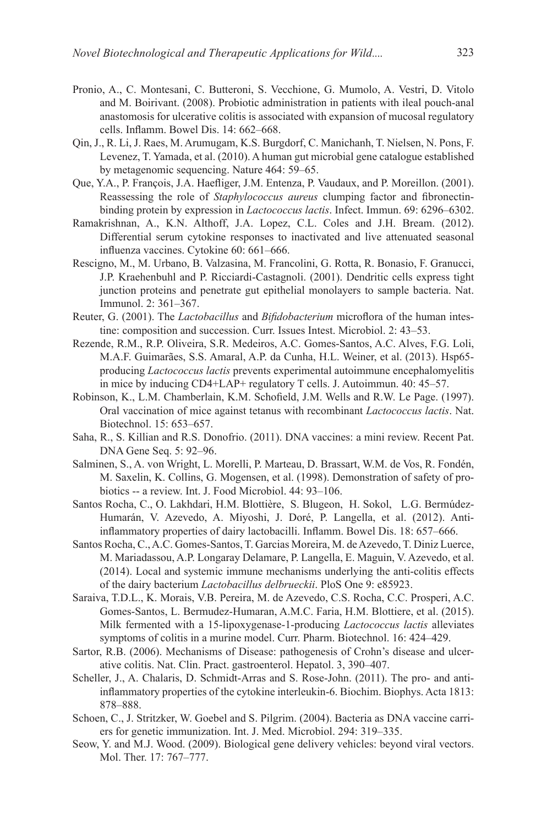- Pronio, A., C. Montesani, C. Butteroni, S. Vecchione, G. Mumolo, A. Vestri, D. Vitolo and M. Boirivant. (2008). Probiotic administration in patients with ileal pouch-anal anastomosis for ulcerative colitis is associated with expansion of mucosal regulatory cells. Inflamm. Bowel Dis. 14: 662–668.
- Qin, J., R. Li, J. Raes, M. Arumugam, K.S. Burgdorf, C. Manichanh, T. Nielsen, N. Pons, F. Levenez, T. Yamada, et al. (2010). A human gut microbial gene catalogue established by metagenomic sequencing. Nature 464: 59–65.
- Que, Y.A., P. François, J.A. Haefliger, J.M. Entenza, P. Vaudaux, and P. Moreillon. (2001). Reassessing the role of *Staphylococcus aureus* clumping factor and fibronectinbinding protein by expression in *Lactococcus lactis*. Infect. Immun. 69: 6296–6302.
- Ramakrishnan, A., K.N. Althoff, J.A. Lopez, C.L. Coles and J.H. Bream. (2012). Differential serum cytokine responses to inactivated and live attenuated seasonal influenza vaccines. Cytokine 60: 661–666.
- Rescigno, M., M. Urbano, B. Valzasina, M. Francolini, G. Rotta, R. Bonasio, F. Granucci, J.P. Kraehenbuhl and P. Ricciardi-Castagnoli. (2001). Dendritic cells express tight junction proteins and penetrate gut epithelial monolayers to sample bacteria. Nat. Immunol. 2: 361–367.
- Reuter, G. (2001). The *Lactobacillus* and *Bifidobacterium* microflora of the human intestine: composition and succession. Curr. Issues Intest. Microbiol. 2: 43–53.
- Rezende, R.M., R.P. Oliveira, S.R. Medeiros, A.C. Gomes-Santos, A.C. Alves, F.G. Loli, M.A.F. Guimarães, S.S. Amaral, A.P. da Cunha, H.L. Weiner, et al. (2013). Hsp65 producing *Lactococcus lactis* prevents experimental autoimmune encephalomyelitis in mice by inducing CD4+LAP+ regulatory T cells. J. Autoimmun. 40: 45–57.
- Robinson, K., L.M. Chamberlain, K.M. Schofield, J.M. Wells and R.W. Le Page. (1997). Oral vaccination of mice against tetanus with recombinant *Lactococcus lactis*. Nat. Biotechnol. 15: 653–657.
- Saha, R., S. Killian and R.S. Donofrio. (2011). DNA vaccines: a mini review. Recent Pat. DNA Gene Seq. 5: 92–96.
- Salminen, S., A. von Wright, L. Morelli, P. Marteau, D. Brassart, W.M. de Vos, R. Fondén, M. Saxelin, K. Collins, G. Mogensen, et al. (1998). Demonstration of safety of probiotics -- a review. Int. J. Food Microbiol. 44: 93–106.
- Santos Rocha, C., O. Lakhdari, H.M. Blottière, S. Blugeon, H. Sokol, L.G. Bermúdez-Humarán, V. Azevedo, A. Miyoshi, J. Doré, P. Langella, et al. (2012). Antiinflammatory properties of dairy lactobacilli. Inflamm. Bowel Dis. 18: 657–666.
- Santos Rocha, C., A.C. Gomes-Santos, T. Garcias Moreira, M. de Azevedo, T. Diniz Luerce, M. Mariadassou, A.P. Longaray Delamare, P. Langella, E. Maguin, V. Azevedo, et al. (2014). Local and systemic immune mechanisms underlying the anti-colitis effects of the dairy bacterium *Lactobacillus delbrueckii*. PloS One 9: e85923.
- Saraiva, T.D.L., K. Morais, V.B. Pereira, M. de Azevedo, C.S. Rocha, C.C. Prosperi, A.C. Gomes-Santos, L. Bermudez-Humaran, A.M.C. Faria, H.M. Blottiere, et al. (2015). Milk fermented with a 15-lipoxygenase-1-producing *Lactococcus lactis* alleviates symptoms of colitis in a murine model. Curr. Pharm. Biotechnol. 16: 424–429.
- Sartor, R.B. (2006). Mechanisms of Disease: pathogenesis of Crohn's disease and ulcerative colitis. Nat. Clin. Pract. gastroenterol. Hepatol. 3, 390–407.
- Scheller, J., A. Chalaris, D. Schmidt-Arras and S. Rose-John. (2011). The pro- and antiinflammatory properties of the cytokine interleukin-6. Biochim. Biophys. Acta 1813: 878–888.
- Schoen, C., J. Stritzker, W. Goebel and S. Pilgrim. (2004). Bacteria as DNA vaccine carriers for genetic immunization. Int. J. Med. Microbiol. 294: 319–335.
- Seow, Y. and M.J. Wood. (2009). Biological gene delivery vehicles: beyond viral vectors. Mol. Ther. 17: 767–777.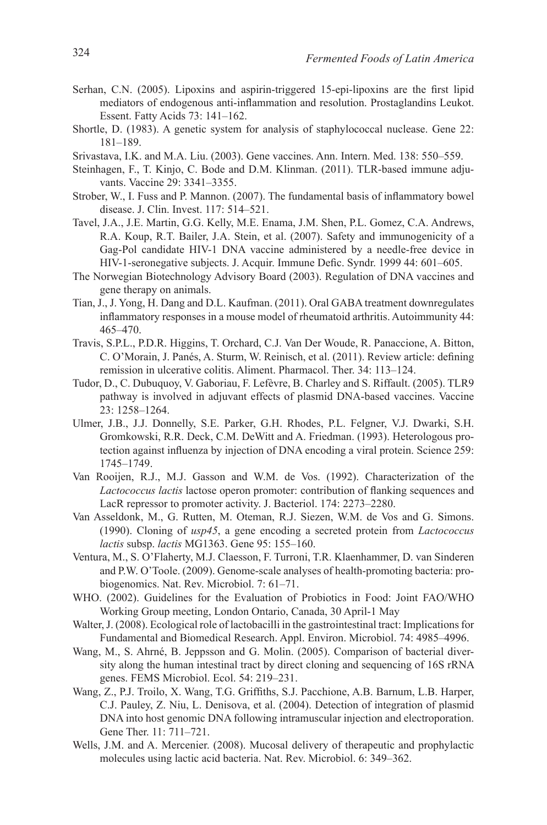- Serhan, C.N. (2005). Lipoxins and aspirin-triggered 15-epi-lipoxins are the first lipid mediators of endogenous anti-inflammation and resolution. Prostaglandins Leukot. Essent. Fatty Acids 73: 141–162.
- Shortle, D. (1983). A genetic system for analysis of staphylococcal nuclease. Gene 22: 181–189.
- Srivastava, I.K. and M.A. Liu. (2003). Gene vaccines. Ann. Intern. Med. 138: 550–559.
- Steinhagen, F., T. Kinjo, C. Bode and D.M. Klinman. (2011). TLR-based immune adjuvants. Vaccine 29: 3341–3355.
- Strober, W., I. Fuss and P. Mannon. (2007). The fundamental basis of inflammatory bowel disease. J. Clin. Invest. 117: 514–521.
- Tavel, J.A., J.E. Martin, G.G. Kelly, M.E. Enama, J.M. Shen, P.L. Gomez, C.A. Andrews, R.A. Koup, R.T. Bailer, J.A. Stein, et al. (2007). Safety and immunogenicity of a Gag-Pol candidate HIV-1 DNA vaccine administered by a needle-free device in HIV-1-seronegative subjects. J. Acquir. Immune Defic. Syndr. 1999 44: 601–605.
- The Norwegian Biotechnology Advisory Board (2003). Regulation of DNA vaccines and gene therapy on animals.
- Tian, J., J. Yong, H. Dang and D.L. Kaufman. (2011). Oral GABA treatment downregulates inflammatory responses in a mouse model of rheumatoid arthritis. Autoimmunity 44: 465–470.
- Travis, S.P.L., P.D.R. Higgins, T. Orchard, C.J. Van Der Woude, R. Panaccione, A. Bitton, C. O'Morain, J. Panés, A. Sturm, W. Reinisch, et al. (2011). Review article: defining remission in ulcerative colitis. Aliment. Pharmacol. Ther. 34: 113–124.
- Tudor, D., C. Dubuquoy, V. Gaboriau, F. Lefèvre, B. Charley and S. Riffault. (2005). TLR9 pathway is involved in adjuvant effects of plasmid DNA-based vaccines. Vaccine 23: 1258–1264.
- Ulmer, J.B., J.J. Donnelly, S.E. Parker, G.H. Rhodes, P.L. Felgner, V.J. Dwarki, S.H. Gromkowski, R.R. Deck, C.M. DeWitt and A. Friedman. (1993). Heterologous protection against influenza by injection of DNA encoding a viral protein. Science 259: 1745–1749.
- Van Rooijen, R.J., M.J. Gasson and W.M. de Vos. (1992). Characterization of the *Lactococcus lactis* lactose operon promoter: contribution of flanking sequences and LacR repressor to promoter activity. J. Bacteriol. 174: 2273–2280.
- Van Asseldonk, M., G. Rutten, M. Oteman, R.J. Siezen, W.M. de Vos and G. Simons. (1990). Cloning of *usp45*, a gene encoding a secreted protein from *Lactococcus lactis* subsp. *lactis* MG1363. Gene 95: 155–160.
- Ventura, M., S. O'Flaherty, M.J. Claesson, F. Turroni, T.R. Klaenhammer, D. van Sinderen and P.W. O'Toole. (2009). Genome-scale analyses of health-promoting bacteria: probiogenomics. Nat. Rev. Microbiol. 7: 61–71.
- WHO. (2002). Guidelines for the Evaluation of Probiotics in Food: Joint FAO/WHO Working Group meeting, London Ontario, Canada, 30 April-1 May
- Walter, J. (2008). Ecological role of lactobacilli in the gastrointestinal tract: Implications for Fundamental and Biomedical Research. Appl. Environ. Microbiol. 74: 4985–4996.
- Wang, M., S. Ahrné, B. Jeppsson and G. Molin. (2005). Comparison of bacterial diversity along the human intestinal tract by direct cloning and sequencing of 16S rRNA genes. FEMS Microbiol. Ecol. 54: 219–231.
- Wang, Z., P.J. Troilo, X. Wang, T.G. Griffiths, S.J. Pacchione, A.B. Barnum, L.B. Harper, C.J. Pauley, Z. Niu, L. Denisova, et al. (2004). Detection of integration of plasmid DNA into host genomic DNA following intramuscular injection and electroporation. Gene Ther. 11: 711–721.
- Wells, J.M. and A. Mercenier. (2008). Mucosal delivery of therapeutic and prophylactic molecules using lactic acid bacteria. Nat. Rev. Microbiol. 6: 349–362.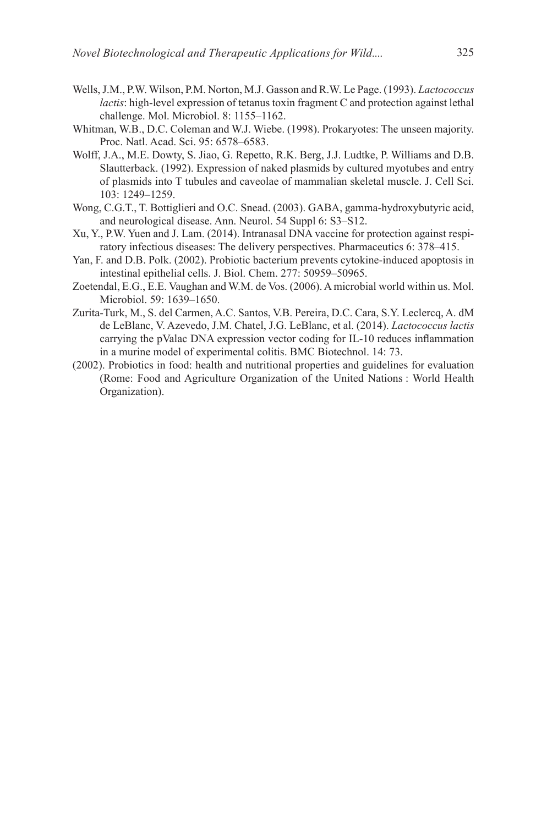- Wells, J.M., P.W. Wilson, P.M. Norton, M.J. Gasson and R.W. Le Page. (1993). *Lactococcus lactis*: high-level expression of tetanus toxin fragment C and protection against lethal challenge. Mol. Microbiol. 8: 1155–1162.
- Whitman, W.B., D.C. Coleman and W.J. Wiebe. (1998). Prokaryotes: The unseen majority. Proc. Natl. Acad. Sci. 95: 6578–6583.
- Wolff, J.A., M.E. Dowty, S. Jiao, G. Repetto, R.K. Berg, J.J. Ludtke, P. Williams and D.B. Slautterback. (1992). Expression of naked plasmids by cultured myotubes and entry of plasmids into T tubules and caveolae of mammalian skeletal muscle. J. Cell Sci. 103: 1249–1259.
- Wong, C.G.T., T. Bottiglieri and O.C. Snead. (2003). GABA, gamma-hydroxybutyric acid, and neurological disease. Ann. Neurol. 54 Suppl 6: S3–S12.
- Xu, Y., P.W. Yuen and J. Lam. (2014). Intranasal DNA vaccine for protection against respiratory infectious diseases: The delivery perspectives. Pharmaceutics 6: 378–415.
- Yan, F. and D.B. Polk. (2002). Probiotic bacterium prevents cytokine-induced apoptosis in intestinal epithelial cells. J. Biol. Chem. 277: 50959–50965.
- Zoetendal, E.G., E.E. Vaughan and W.M. de Vos. (2006). A microbial world within us. Mol. Microbiol. 59: 1639–1650.
- Zurita-Turk, M., S. del Carmen, A.C. Santos, V.B. Pereira, D.C. Cara, S.Y. Leclercq, A. dM de LeBlanc, V. Azevedo, J.M. Chatel, J.G. LeBlanc, et al. (2014). *Lactococcus lactis*  carrying the pValac DNA expression vector coding for IL-10 reduces inflammation in a murine model of experimental colitis. BMC Biotechnol. 14: 73.
- (2002). Probiotics in food: health and nutritional properties and guidelines for evaluation (Rome: Food and Agriculture Organization of the United Nations : World Health Organization).